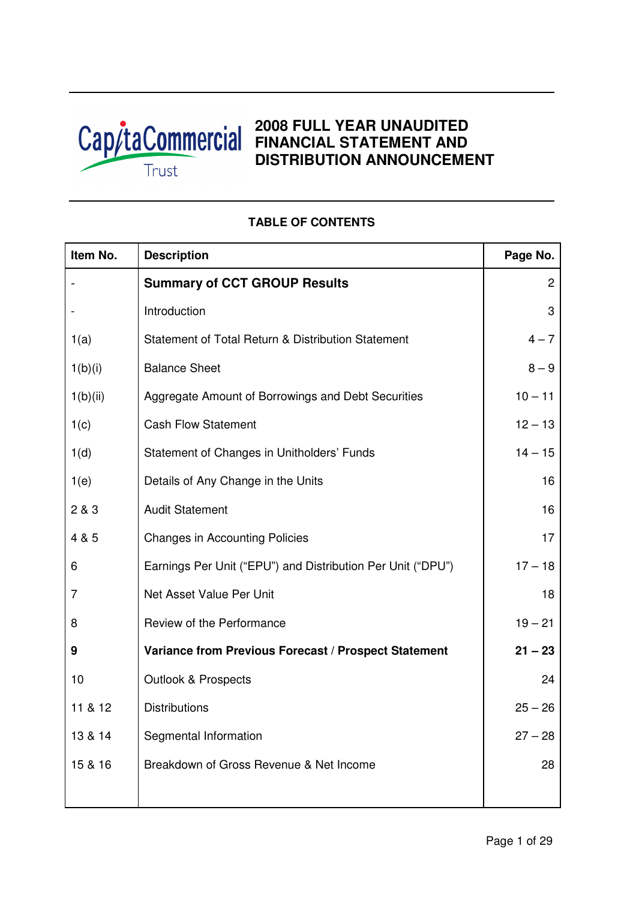

# **2008 FULL YEAR UNAUDITED FINANCIAL STATEMENT AND DISTRIBUTION ANNOUNCEMENT**

# **Item No.** Description **Page No.** Page No. - **Summary of CCT GROUP Results** 2 - Introduction and a set of the set of the set of the set of the set of the set of the set of the set of the s 1(a) Statement of Total Return & Distribution Statement  $4-7$  $1(b)(i)$  Balance Sheet 8 – 9 1(b)(ii) Aggregate Amount of Borrowings and Debt Securities 10 – 11 1(c) Cash Flow Statement 12 – 13 1(d) Statement of Changes in Unitholders' Funds 14 – 15 1(e) Details of Any Change in the Units 16 2 & 3 Audit Statement 16 4 & 5 Changes in Accounting Policies 17 6 Earnings Per Unit ("EPU") and Distribution Per Unit ("DPU") 17 – 18 7 **Net Asset Value Per Unit 18** Net Asset Value Per Unit 18 8 Review of the Performance 19 – 21 **9 Variance from Previous Forecast / Prospect Statement 21 – 23** 10 Outlook & Prospects 24 11 & 12 Distributions 25 – 26 13 & 14 Segmental Information 27 – 28 15 & 16 Breakdown of Gross Revenue & Net Income 28

# **TABLE OF CONTENTS**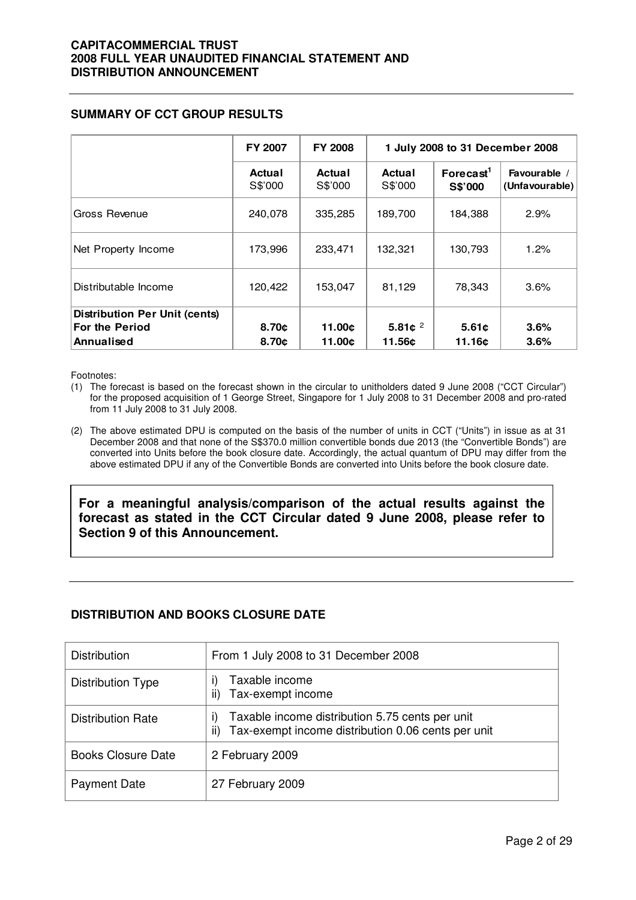# **SUMMARY OF CCT GROUP RESULTS**

|                                                                             | <b>FY 2007</b>    | <b>FY 2008</b>    |                      | 1 July 2008 to 31 December 2008            |                                |  |  |
|-----------------------------------------------------------------------------|-------------------|-------------------|----------------------|--------------------------------------------|--------------------------------|--|--|
|                                                                             | Actual<br>S\$'000 | Actual<br>S\$'000 | Actual<br>S\$'000    | $\text{For}$ ecast <sup>1</sup><br>S\$'000 | Favourable /<br>(Unfavourable) |  |  |
| Gross Revenue                                                               | 240,078           | 335,285           | 189,700              | 184,388                                    | 2.9%                           |  |  |
| Net Property Income                                                         | 173,996           | 233,471           | 132,321              | 130,793                                    | 1.2%                           |  |  |
| Distributable Income                                                        | 120,422           | 153,047           | 81,129               | 78,343                                     | 3.6%                           |  |  |
| <b>Distribution Per Unit (cents)</b><br><b>For the Period</b><br>Annualised | 8.70c<br>8.70c    | 11.00¢<br>11.00c  | 5.81 $c^2$<br>11.56¢ | 5.61c<br>11.16¢                            | 3.6%<br>3.6%                   |  |  |

Footnotes:

- (1) The forecast is based on the forecast shown in the circular to unitholders dated 9 June 2008 ("CCT Circular") for the proposed acquisition of 1 George Street, Singapore for 1 July 2008 to 31 December 2008 and pro-rated from 11 July 2008 to 31 July 2008.
- (2) The above estimated DPU is computed on the basis of the number of units in CCT ("Units") in issue as at 31 December 2008 and that none of the S\$370.0 million convertible bonds due 2013 (the "Convertible Bonds") are converted into Units before the book closure date. Accordingly, the actual quantum of DPU may differ from the above estimated DPU if any of the Convertible Bonds are converted into Units before the book closure date.

**For a meaningful analysis/comparison of the actual results against the forecast as stated in the CCT Circular dated 9 June 2008, please refer to Section 9 of this Announcement.** 

# **DISTRIBUTION AND BOOKS CLOSURE DATE**

| <b>Distribution</b>       | From 1 July 2008 to 31 December 2008                                                                               |
|---------------------------|--------------------------------------------------------------------------------------------------------------------|
| Distribution Type         | Taxable income<br>Tax-exempt income<br>ii)                                                                         |
| <b>Distribution Rate</b>  | Taxable income distribution 5.75 cents per unit<br>I)<br>Tax-exempt income distribution 0.06 cents per unit<br>ii) |
| <b>Books Closure Date</b> | 2 February 2009                                                                                                    |
| <b>Payment Date</b>       | 27 February 2009                                                                                                   |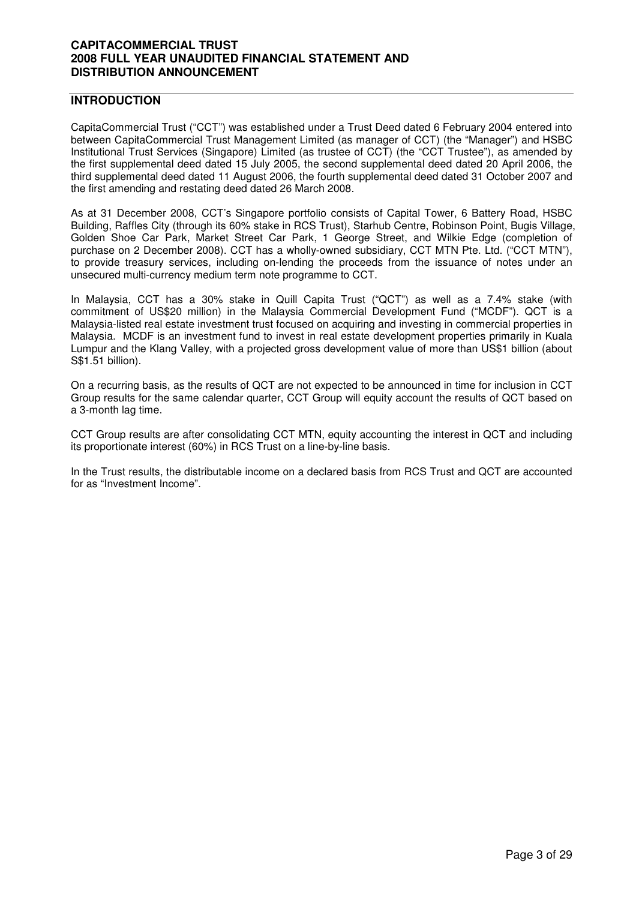# **INTRODUCTION**

CapitaCommercial Trust ("CCT") was established under a Trust Deed dated 6 February 2004 entered into between CapitaCommercial Trust Management Limited (as manager of CCT) (the "Manager") and HSBC Institutional Trust Services (Singapore) Limited (as trustee of CCT) (the "CCT Trustee"), as amended by the first supplemental deed dated 15 July 2005, the second supplemental deed dated 20 April 2006, the third supplemental deed dated 11 August 2006, the fourth supplemental deed dated 31 October 2007 and the first amending and restating deed dated 26 March 2008.

As at 31 December 2008, CCT's Singapore portfolio consists of Capital Tower, 6 Battery Road, HSBC Building, Raffles City (through its 60% stake in RCS Trust), Starhub Centre, Robinson Point, Bugis Village, Golden Shoe Car Park, Market Street Car Park, 1 George Street, and Wilkie Edge (completion of purchase on 2 December 2008). CCT has a wholly-owned subsidiary, CCT MTN Pte. Ltd. ("CCT MTN"), to provide treasury services, including on-lending the proceeds from the issuance of notes under an unsecured multi-currency medium term note programme to CCT.

In Malaysia, CCT has a 30% stake in Quill Capita Trust ("QCT") as well as a 7.4% stake (with commitment of US\$20 million) in the Malaysia Commercial Development Fund ("MCDF"). QCT is a Malaysia-listed real estate investment trust focused on acquiring and investing in commercial properties in Malaysia. MCDF is an investment fund to invest in real estate development properties primarily in Kuala Lumpur and the Klang Valley, with a projected gross development value of more than US\$1 billion (about S\$1.51 billion).

On a recurring basis, as the results of QCT are not expected to be announced in time for inclusion in CCT Group results for the same calendar quarter, CCT Group will equity account the results of QCT based on a 3-month lag time.

CCT Group results are after consolidating CCT MTN, equity accounting the interest in QCT and including its proportionate interest (60%) in RCS Trust on a line-by-line basis.

In the Trust results, the distributable income on a declared basis from RCS Trust and QCT are accounted for as "Investment Income".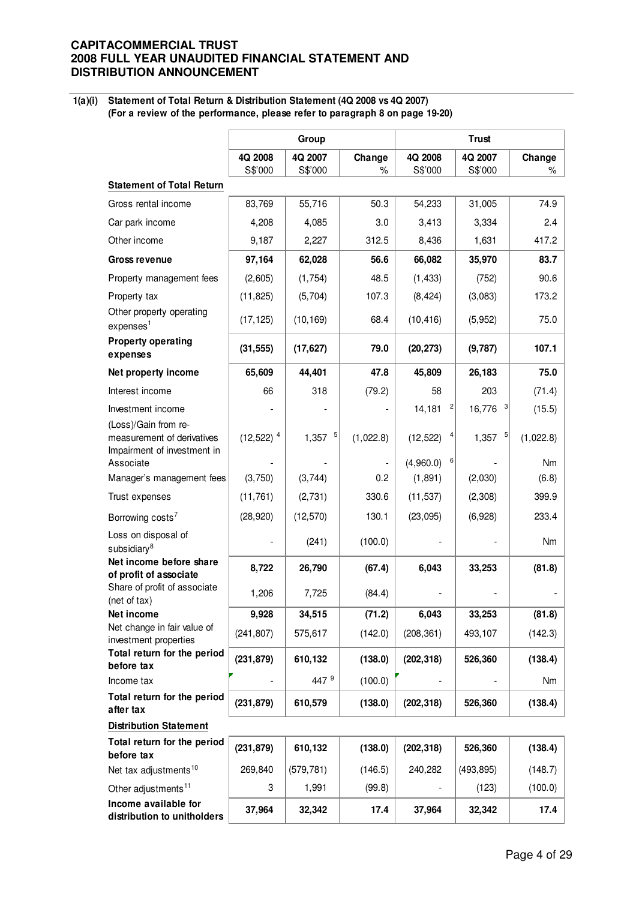**1(a)(i) Statement of Total Return & Distribution Statement (4Q 2008 vs 4Q 2007) (For a review of the performance, please refer to paragraph 8 on page 19-20)**

|                                                                                   |                         | Group              |                |                                   | <b>Trust</b>       |             |
|-----------------------------------------------------------------------------------|-------------------------|--------------------|----------------|-----------------------------------|--------------------|-------------|
|                                                                                   | 4Q 2008<br>S\$'000      | 4Q 2007<br>S\$'000 | Change<br>$\%$ | 4Q 2008<br>S\$'000                | 4Q 2007<br>S\$'000 | Change<br>% |
| <b>Statement of Total Return</b>                                                  |                         |                    |                |                                   |                    |             |
| Gross rental income                                                               | 83,769                  | 55,716             | 50.3           | 54,233                            | 31,005             | 74.9        |
| Car park income                                                                   | 4,208                   | 4,085              | 3.0            | 3,413                             | 3,334              | 2.4         |
| Other income                                                                      | 9,187                   | 2,227              | 312.5          | 8,436                             | 1,631              | 417.2       |
| <b>Gross revenue</b>                                                              | 97,164                  | 62,028             | 56.6           | 66,082                            | 35,970             | 83.7        |
| Property management fees                                                          | (2,605)                 | (1,754)            | 48.5           | (1, 433)                          | (752)              | 90.6        |
| Property tax                                                                      | (11, 825)               | (5,704)            | 107.3          | (8, 424)                          | (3,083)            | 173.2       |
| Other property operating<br>expenses <sup>1</sup>                                 | (17, 125)               | (10, 169)          | 68.4           | (10, 416)                         | (5,952)            | 75.0        |
| <b>Property operating</b><br>expenses                                             | (31, 555)               | (17, 627)          | 79.0           | (20, 273)                         | (9,787)            | 107.1       |
| Net property income                                                               | 65,609                  | 44,401             | 47.8           | 45,809                            | 26,183             | 75.0        |
| Interest income                                                                   | 66                      | 318                | (79.2)         | 58                                | 203                | (71.4)      |
| Investment income                                                                 |                         |                    |                | 14,181<br>$\overline{\mathbf{c}}$ | 16,776<br>3        | (15.5)      |
| (Loss)/Gain from re-<br>measurement of derivatives<br>Impairment of investment in | $(12,522)$ <sup>4</sup> | 5<br>1,357         | (1,022.8)      | (12, 522)                         | 5<br>1,357         | (1,022.8)   |
| Associate                                                                         |                         |                    |                | $6 \mid$<br>(4,960.0)             |                    | Nm          |
| Manager's management fees                                                         | (3,750)                 | (3,744)            | 0.2            | (1,891)                           | (2,030)            | (6.8)       |
| Trust expenses                                                                    | (11, 761)               | (2,731)            | 330.6          | (11, 537)                         | (2,308)            | 399.9       |
| Borrowing costs <sup>7</sup>                                                      | (28, 920)               | (12, 570)          | 130.1          | (23,095)                          | (6,928)            | 233.4       |
| Loss on disposal of<br>subsidiary <sup>8</sup>                                    |                         | (241)              | (100.0)        |                                   |                    | Nm          |
| Net income before share<br>of profit of associate                                 | 8,722                   | 26,790             | (67.4)         | 6,043                             | 33,253             | (81.8)      |
| Share of profit of associate<br>(net of tax)                                      | 1,206                   | 7,725              | (84.4)         |                                   |                    |             |
| Net income                                                                        | 9,928                   | 34,515             | (71.2)         | 6,043                             | 33,253             | (81.8)      |
| Net change in fair value of<br>investment properties                              | (241, 807)              | 575,617            | (142.0)        | (208, 361)                        | 493,107            | (142.3)     |
| Total return for the period<br>before tax                                         | (231, 879)              | 610,132            | (138.0)        | (202, 318)                        | 526,360            | (138.4)     |
| Income tax                                                                        |                         | 447 9              | (100.0)        |                                   |                    | Nm          |
| Total return for the period<br>after tax                                          | (231, 879)              | 610,579            | (138.0)        | (202, 318)                        | 526,360            | (138.4)     |
| <b>Distribution Statement</b>                                                     |                         |                    |                |                                   |                    |             |
| Total return for the period<br>before tax                                         | (231, 879)              | 610,132            | (138.0)        | (202, 318)                        | 526,360            | (138.4)     |
| Net tax adjustments <sup>10</sup>                                                 | 269,840                 | (579, 781)         | (146.5)        | 240,282                           | (493, 895)         | (148.7)     |
| Other adjustments <sup>11</sup>                                                   | 3                       | 1,991              | (99.8)         |                                   | (123)              | (100.0)     |
| Income available for<br>distribution to unitholders                               | 37,964                  | 32,342             | 17.4           | 37,964                            | 32,342             | 17.4        |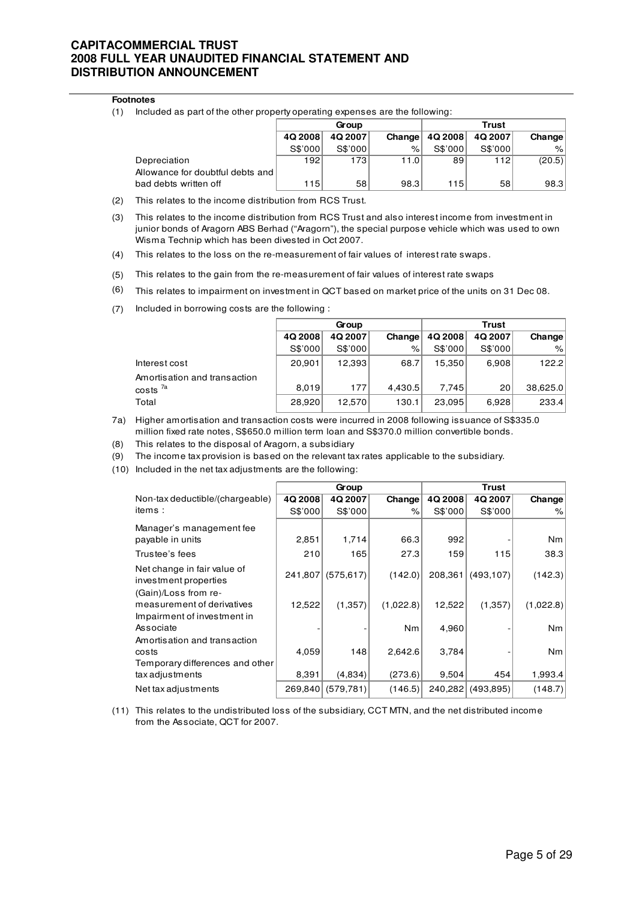#### **Footnotes**

(1) Included as part of the other property operating expenses are the following:

|                                  |         | Group   |        | Trust   |         |        |
|----------------------------------|---------|---------|--------|---------|---------|--------|
|                                  | 4Q 2008 | 4Q 2007 | Change | 4Q 2008 | 4Q 2007 | Change |
|                                  | S\$'000 | S\$'000 | $\%$   | S\$'000 | S\$'000 | $\%$   |
| Depreciation                     | 192     | 1731    | 11.0   | 89      | 112     | (20.5) |
| Allowance for doubtful debts and |         |         |        |         |         |        |
| bad debts written off            | 115     | 58      | 98.3   | 115     | 58      | 98.3   |

- (2) This relates to the income distribution from RCS Trust.
- (3) This relates to the income distribution from RCS Trust and also interest income from investment in junior bonds of Aragorn ABS Berhad ("Aragorn"), the special purpose vehicle which was used to own Wisma Technip which has been divested in Oct 2007.
- (4) This relates to the loss on the re-measurement of fair values of interest rate swaps.
- (5) This relates to the gain from the re-measurement of fair values of interest rate swaps
- $(6)$  This relates to impairment on investment in QCT based on market price of the units on 31 Dec 08.
- (7) Included in borrowing costs are the following :

|                              |         | Group   |         | <b>Trust</b> |         |          |  |
|------------------------------|---------|---------|---------|--------------|---------|----------|--|
|                              | 4Q 2008 | 4Q 2007 | Change  | 4Q 2008      | 4Q 2007 | Change   |  |
|                              | S\$'000 | S\$'000 | $\%$    | S\$'000      | S\$'000 | %        |  |
| Interest cost                | 20,901  | 12,393  | 68.7    | 15.350       | 6.908   | 122.2    |  |
| Amortisation and transaction |         |         |         |              |         |          |  |
| costs <sup>7a</sup>          | 8,019   | 177     | 4.430.5 | 7.745        | 20      | 38,625.0 |  |
| Total                        | 28,920  | 12,570  | 130.1   | 23.095       | 6.928   | 233.4    |  |

- 7a) Higher amortisation and transaction costs were incurred in 2008 following issuance of S\$335.0 million fixed rate notes, S\$650.0 million term loan and S\$370.0 million convertible bonds.
- (8) This relates to the disposal of Aragorn, a subsidiary
- (9) The income tax provision is based on the relevant tax rates applicable to the subsidiary.
- (10) Included in the net tax adjustments are the following:

|                                                                                   |         | Group      |           | Trust   |            |                |  |
|-----------------------------------------------------------------------------------|---------|------------|-----------|---------|------------|----------------|--|
| Non-tax deductible/(chargeable)                                                   | 4Q 2008 | 4Q 2007    | Change    | 4Q 2008 | 4Q 2007    | Change         |  |
| items:                                                                            | S\$'000 | S\$'000    | $\%$      | S\$'000 | S\$'000    | %              |  |
| Manager's management fee<br>payable in units                                      | 2,851   | 1,714      | 66.3      | 992     |            | N <sub>m</sub> |  |
|                                                                                   |         |            |           |         |            |                |  |
| Trustee's fees                                                                    | 210     | 165        | 27.3      | 159     | 115        | 38.3           |  |
| Net change in fair value of<br>investment properties                              | 241,807 | (575, 617) | (142.0)   | 208,361 | (493, 107) | (142.3)        |  |
| (Gain)/Loss from re-<br>measurement of derivatives<br>Impairment of investment in | 12,522  | (1,357)    | (1,022.8) | 12,522  | (1,357)    | (1,022.8)      |  |
| Associate                                                                         |         |            | Nm        | 4,960   |            | N <sub>m</sub> |  |
| Amortisation and transaction<br>costs<br>Temporary differences and other          | 4,059   | 148        | 2,642.6   | 3,784   |            | <b>Nm</b>      |  |
| tax adjustments                                                                   | 8,391   | (4,834)    | (273.6)   | 9,504   | 454        | 1,993.4        |  |
| Net tax adjustments                                                               | 269,840 | (579, 781) | (146.5)   | 240,282 | (493, 895) | (148.7)        |  |

(11) This relates to the undistributed loss of the subsidiary, CCT MTN, and the net distributed income from the Associate, QCT for 2007.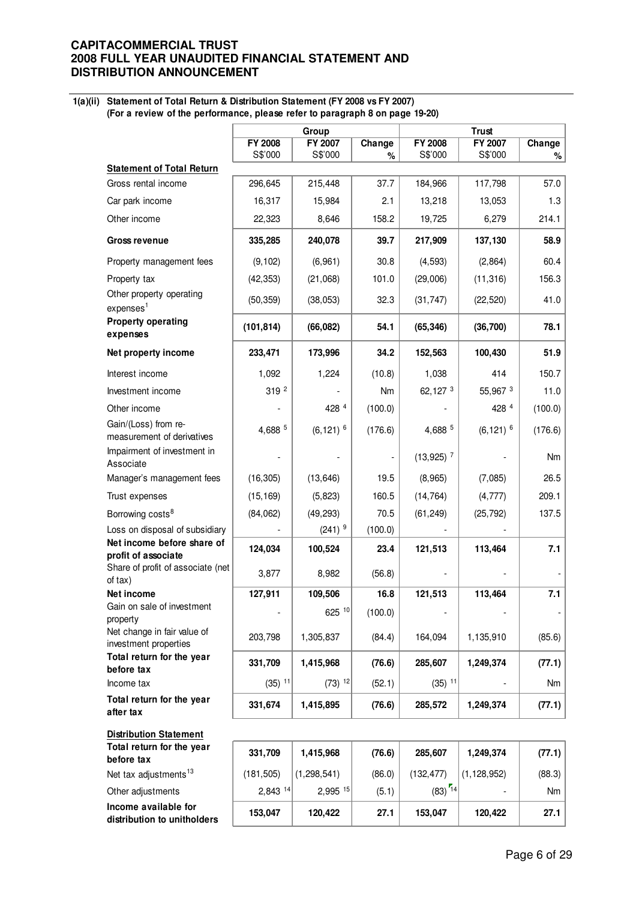#### **1(a)(ii) Statement of Total Return & Distribution Statement (FY 2008 vs FY 2007) (For a review of the performance, please refer to paragraph 8 on page 19-20)**

|                                                    |                      | Group                   |         |                         | <b>Trust</b>            |         |  |
|----------------------------------------------------|----------------------|-------------------------|---------|-------------------------|-------------------------|---------|--|
|                                                    | FY 2008              | FY 2007                 | Change  | FY 2008                 | FY 2007                 | Change  |  |
|                                                    | S\$'000              | S\$'000                 | %       | S\$'000                 | S\$'000                 | %       |  |
| <b>Statement of Total Return</b>                   |                      |                         |         |                         |                         |         |  |
| Gross rental income                                | 296,645              | 215,448                 | 37.7    | 184,966                 | 117,798                 | 57.0    |  |
| Car park income                                    | 16,317               | 15,984                  | 2.1     | 13,218                  | 13,053                  | 1.3     |  |
| Other income                                       | 22,323               | 8,646                   | 158.2   | 19,725                  | 6,279                   | 214.1   |  |
| <b>Gross revenue</b>                               | 335,285              | 240,078                 | 39.7    | 217,909                 | 137,130                 | 58.9    |  |
| Property management fees                           | (9, 102)             | (6,961)                 | 30.8    | (4, 593)                | (2,864)                 | 60.4    |  |
| Property tax                                       | (42, 353)            | (21,068)                | 101.0   | (29,006)                | (11, 316)               | 156.3   |  |
| Other property operating<br>express <sup>1</sup>   | (50, 359)            | (38,053)                | 32.3    | (31, 747)               | (22, 520)               | 41.0    |  |
| <b>Property operating</b><br>expenses              | (101, 814)           | (66,082)                | 54.1    | (65, 346)               | (36, 700)               | 78.1    |  |
| Net property income                                | 233,471              | 173,996                 | 34.2    | 152,563                 | 100,430                 | 51.9    |  |
| Interest income                                    | 1,092                | 1,224                   | (10.8)  | 1,038                   | 414                     | 150.7   |  |
| Investment income                                  | 319 2                |                         | Nm      | 62,127 3                | 55,967 3                | 11.0    |  |
| Other income                                       |                      | 428 4                   | (100.0) |                         | 428 4                   | (100.0) |  |
| Gain/(Loss) from re-<br>measurement of derivatives | 4,688 5              | $(6, 121)$ <sup>6</sup> | (176.6) | 4,688 5                 | $(6, 121)$ <sup>6</sup> | (176.6) |  |
| Impairment of investment in<br>Associate           |                      |                         |         | $(13,925)$ <sup>7</sup> |                         | Nm      |  |
| Manager's management fees                          | (16, 305)            | (13, 646)               | 19.5    | (8,965)                 | (7,085)                 | 26.5    |  |
| Trust expenses                                     | (15, 169)            | (5,823)                 | 160.5   | (14, 764)               | (4, 777)                | 209.1   |  |
| Borrowing costs <sup>8</sup>                       | (84, 062)            | (49, 293)               | 70.5    | (61, 249)               | (25, 792)               | 137.5   |  |
| Loss on disposal of subsidiary                     |                      | $(241)$ <sup>9</sup>    | (100.0) |                         |                         |         |  |
| Net income before share of<br>profit of associate  | 124,034              | 100,524                 | 23.4    | 121,513                 | 113,464                 | 7.1     |  |
| Share of profit of associate (net<br>of tax)       | 3,877                | 8,982                   | (56.8)  |                         |                         |         |  |
| Net income                                         | 127,911              | 109,506                 | 16.8    | 121,513                 | 113,464                 | 7.1     |  |
| Gain on sale of investment                         |                      | 625 10                  | (100.0) |                         |                         |         |  |
| property<br>Net change in fair value of            |                      |                         |         |                         |                         |         |  |
| investment properties                              | 203,798              | 1,305,837               | (84.4)  | 164,094                 | 1,135,910               | (85.6)  |  |
| Total return for the year<br>before tax            | 331,709              | 1,415,968               | (76.6)  | 285,607                 | 1,249,374               | (77.1)  |  |
| Income tax                                         | $(35)$ <sup>11</sup> | $(73)$ <sup>12</sup>    | (52.1)  | $(35)$ <sup>11</sup>    |                         | Nm      |  |
| Total return for the year<br>after tax             | 331,674              | 1,415,895               | (76.6)  | 285,572                 | 1,249,374               | (77.1)  |  |
| <b>Distribution Statement</b>                      |                      |                         |         |                         |                         |         |  |
| Total return for the year<br>before tax            | 331,709              | 1,415,968               | (76.6)  | 285,607                 | 1,249,374               | (77.1)  |  |
| Net tax adjustments <sup>13</sup>                  | (181, 505)           | (1, 298, 541)           | (86.0)  | (132, 477)              | (1, 128, 952)           | (88.3)  |  |
| Other adjustments                                  | 2,843 14             | 2,995 15                | (5.1)   | $(83)$ <sup>14</sup>    |                         | Nm      |  |
| Income available for                               |                      |                         |         |                         |                         |         |  |

**distribution to unitholders** 153,047 120,422 27.1 153,047 120,422 27.1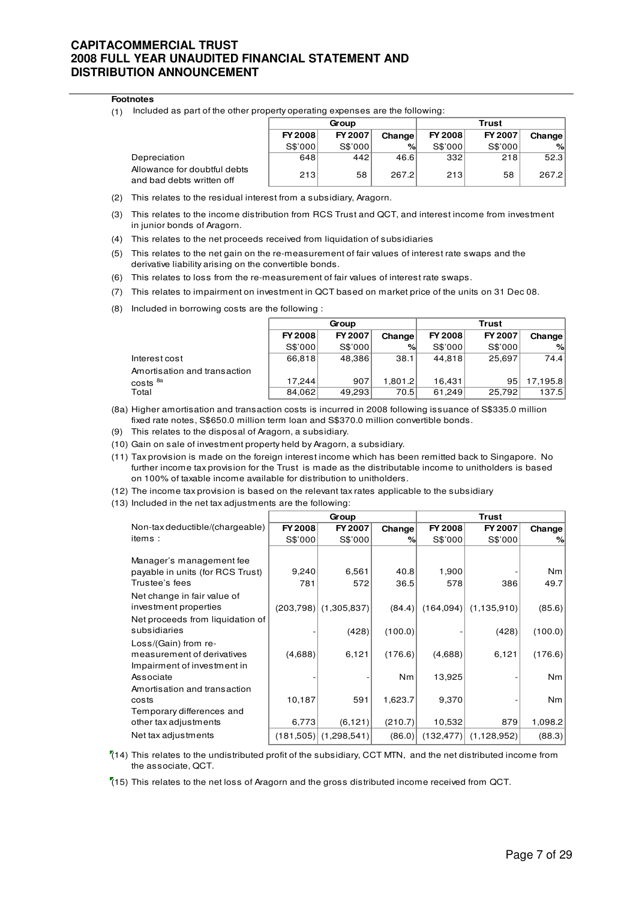#### **Footnotes**

(1) Included as part of the other property operating expenses are the following:

|                                                           | Group          |         |        | <b>Trust</b>   |         |        |
|-----------------------------------------------------------|----------------|---------|--------|----------------|---------|--------|
|                                                           | <b>FY 2008</b> | FY 2007 | Change | <b>FY 2008</b> | FY 2007 | Change |
|                                                           | S\$'000        | S\$'000 | %      | S\$'000        | S\$'000 | %      |
| Depreciation                                              | 648            | 442     | 46.6   | 332            | 218     | 52.3   |
| Allowance for doubtful debts<br>and bad debts written off | 213            | 58      | 267.2  | 213            | 58      | 267.2  |

- (2) This relates to the residual interest from a subsidiary, Aragorn.
- (3) This relates to the income distribution from RCS Trust and QCT, and interest income from investment in junior bonds of Aragorn.
- (4) This relates to the net proceeds received from liquidation of subsidiaries
- (5) This relates to the net gain on the re-measurement of fair values of interest rate swaps and the derivative liability arising on the convertible bonds.
- (6) This relates to loss from the re-measurement of fair values of interest rate swaps.
- (7) This relates to impairment on investment in QCT based on market price of the units on 31 Dec 08.
- (8) Included in borrowing costs are the following :

|                              | Group   |         |         | <b>Trust</b>   |         |          |
|------------------------------|---------|---------|---------|----------------|---------|----------|
|                              | FY 2008 | FY 2007 | Change  | <b>FY 2008</b> | FY 2007 | Change   |
|                              | S\$'000 | S\$'000 | %       | S\$'000        | S\$'000 | %        |
| Interest cost                | 66,818  | 48,386  | 38.1    | 44.818         | 25,697  | 74.4     |
| Amortisation and transaction |         |         |         |                |         |          |
| costs <sup>8a</sup>          | 17.244  | 907     | 1,801.2 | 16.431         | 95      | 17,195.8 |
| Total                        | 84,062  | 49,293  | 70.5    | 61,249         | 25,792  | 137.5    |

- (8a) Higher amortisation and transaction costs is incurred in 2008 following issuance of S\$335.0 million fixed rate notes, S\$650.0 million term loan and S\$370.0 million convertible bonds.
- (9) This relates to the disposal of Aragorn, a subsidiary.
- (10) Gain on sale of investment property held by Aragorn, a subsidiary.
- (11) Tax provision is made on the foreign interest income which has been remitted back to Singapore. No further income tax provision for the Trust is made as the distributable income to unitholders is based on 100% of taxable income available for distribution to unitholders.
- (12) The income tax provision is based on the relevant tax rates applicable to the subsidiary
- (13) Included in the net tax adjustments are the following:

|                                                                                                |                | Group                   |                           |                   |               |                           |
|------------------------------------------------------------------------------------------------|----------------|-------------------------|---------------------------|-------------------|---------------|---------------------------|
| Non-tax deductible/(chargeable)                                                                | <b>FY 2008</b> | FY 2007                 | Change                    | FY 2008           | FY 2007       | Change                    |
| items:                                                                                         | S\$'000        | S\$'000                 | %                         | S\$'000           | S\$'000       | %                         |
| Manager's management fee<br>payable in units (for RCS Trust)<br>Trustee's fees                 | 9,240<br>781   | 6,561<br>572            | 40.8<br>36.5              | 1,900<br>578      | 386           | Nm<br>49.7                |
| Net change in fair value of<br>investment properties<br>Net proceeds from liquidation of       |                | $(203,798)$ (1,305,837) | (84.4)                    | (164,094)         | (1, 135, 910) | (85.6)                    |
| subsidiaries                                                                                   |                | (428)                   | (100.0)                   |                   | (428)         | (100.0)                   |
| Loss/(Gain) from re-<br>measurement of derivatives<br>Impairment of investment in<br>Associate | (4,688)        | 6,121                   | (176.6)<br>N <sub>m</sub> | (4,688)<br>13,925 | 6,121         | (176.6)<br>N <sub>m</sub> |
| Amortisation and transaction<br>costs<br>Temporary differences and                             | 10,187         | 591                     | 1,623.7                   | 9,370             |               | Nm                        |
| other tax adjustments                                                                          | 6,773          | (6, 121)                | (210.7)                   | 10,532            | 879           | 1,098.2                   |
| Net tax adjustments                                                                            |                | (181,505) (1,298,541)   | (86.0)                    | (132, 477)        | (1, 128, 952) | (88.3)                    |

 $(14)$  This relates to the undistributed profit of the subsidiary, CCT MTN, and the net distributed income from the associate, QCT.

(15) This relates to the net loss of Aragorn and the gross distributed income received from QCT.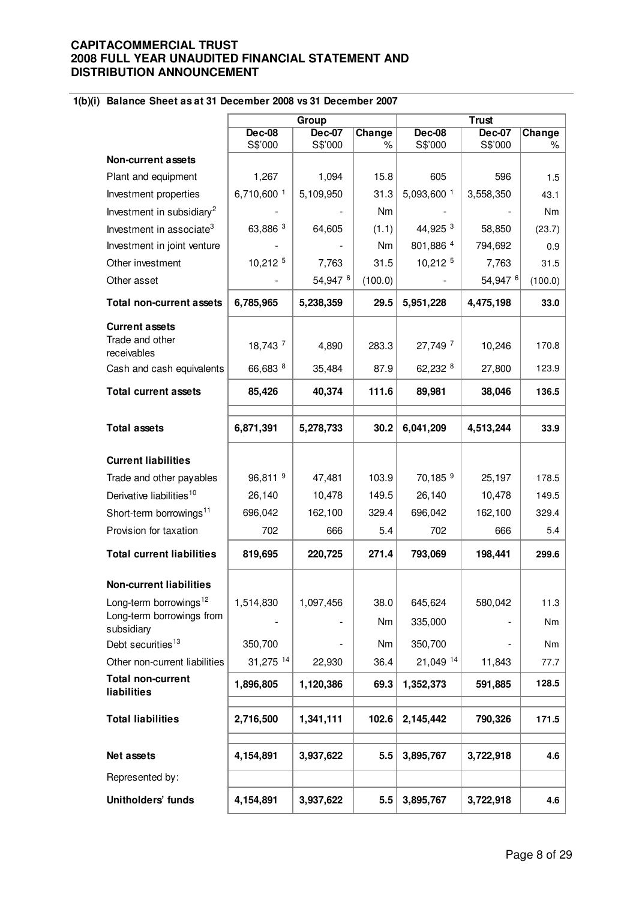# **1(b)(i) Balance Sheet as at 31 December 2008 vs 31 December 2007**

|                                          |                       | Group                    |                |                          | <b>Trust</b>             |             |
|------------------------------------------|-----------------------|--------------------------|----------------|--------------------------|--------------------------|-------------|
|                                          | $Dec-08$<br>S\$'000   | <b>Dec-07</b><br>S\$'000 | Change<br>$\%$ | <b>Dec-08</b><br>S\$'000 | <b>Dec-07</b><br>S\$'000 | Change<br>% |
| Non-current assets                       |                       |                          |                |                          |                          |             |
| Plant and equipment                      | 1,267                 | 1,094                    | 15.8           | 605                      | 596                      | 1.5         |
| Investment properties                    | 6,710,600 1           | 5,109,950                | 31.3           | 5,093,600 1              | 3,558,350                | 43.1        |
| Investment in subsidiary <sup>2</sup>    |                       |                          | Nm             |                          |                          | Nm          |
| Investment in associate <sup>3</sup>     | 63,886 3              | 64,605                   | (1.1)          | 44,925 3                 | 58,850                   | (23.7)      |
| Investment in joint venture              |                       |                          | Nm             | 801,886 4                | 794,692                  | 0.9         |
| Other investment                         | 10,212 5              | 7,763                    | 31.5           | 10,212 5                 | 7,763                    | 31.5        |
| Other asset                              |                       | 54,947 6                 | (100.0)        |                          | 54,947 6                 | (100.0)     |
| <b>Total non-current assets</b>          | 6,785,965             | 5,238,359                | 29.5           | 5,951,228                | 4,475,198                | 33.0        |
| <b>Current assets</b><br>Trade and other | 18,743 7              | 4,890                    | 283.3          | 27,749 7                 | 10,246                   | 170.8       |
| receivables<br>Cash and cash equivalents | 66,683 8              | 35,484                   | 87.9           | 62,232 8                 | 27,800                   | 123.9       |
| <b>Total current assets</b>              | 85,426                | 40,374                   | 111.6          | 89,981                   | 38,046                   | 136.5       |
|                                          |                       |                          |                |                          |                          |             |
| <b>Total assets</b>                      | 6,871,391             | 5,278,733                | 30.2           | 6,041,209                | 4,513,244                | 33.9        |
| <b>Current liabilities</b>               |                       |                          |                |                          |                          |             |
| Trade and other payables                 | $96,811$ <sup>9</sup> | 47,481                   | 103.9          | 70,185 <sup>9</sup>      | 25,197                   | 178.5       |
| Derivative liabilities <sup>10</sup>     | 26,140                | 10,478                   | 149.5          | 26,140                   | 10,478                   | 149.5       |
| Short-term borrowings <sup>11</sup>      | 696,042               | 162,100                  | 329.4          | 696,042                  | 162,100                  | 329.4       |
| Provision for taxation                   | 702                   | 666                      | 5.4            | 702                      | 666                      | 5.4         |
| <b>Total current liabilities</b>         | 819,695               | 220,725                  | 271.4          | 793,069                  | 198,441                  | 299.6       |
| <b>Non-current liabilities</b>           |                       |                          |                |                          |                          |             |
| Long-term borrowings <sup>12</sup>       | 1,514,830             | 1,097,456                | 38.0           | 645,624                  | 580,042                  | 11.3        |
| Long-term borrowings from<br>subsidiary  |                       |                          | Nm             | 335,000                  |                          | Nm          |
| Debt securities <sup>13</sup>            | 350,700               |                          | Nm             | 350,700                  |                          | Nm          |
| Other non-current liabilities            | 31,275 14             | 22,930                   | 36.4           | 21,049 14                | 11,843                   | 77.7        |
| <b>Total non-current</b><br>liabilities  | 1,896,805             | 1,120,386                | 69.3           | 1,352,373                | 591,885                  | 128.5       |
| <b>Total liabilities</b>                 | 2,716,500             | 1,341,111                | 102.6          | 2,145,442                | 790,326                  | 171.5       |
| Net assets                               | 4,154,891             | 3,937,622                | 5.5            | 3,895,767                | 3,722,918                | 4.6         |
| Represented by:                          |                       |                          |                |                          |                          |             |
| Unitholders' funds                       | 4,154,891             | 3,937,622                | 5.5            | 3,895,767                | 3,722,918                | 4.6         |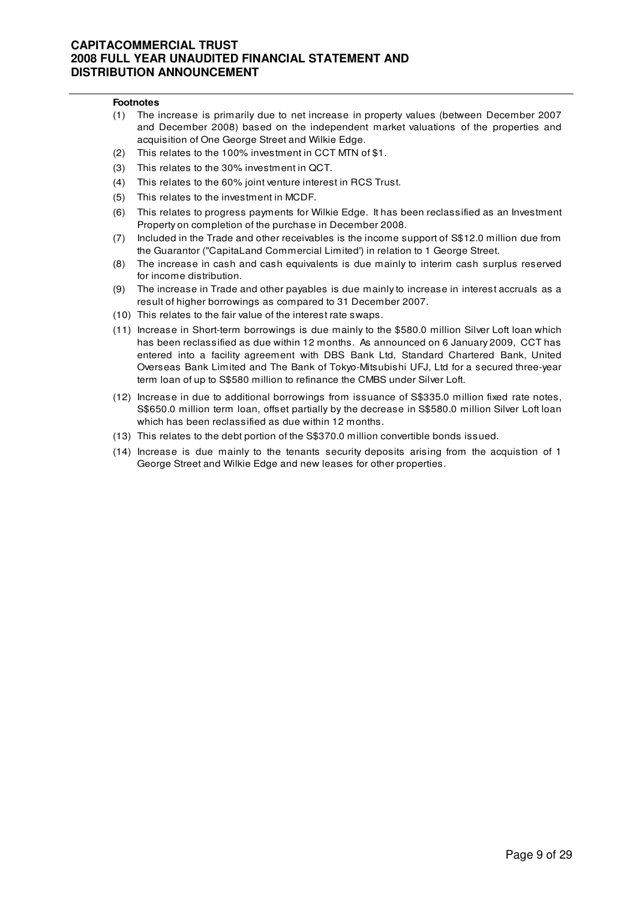#### **Footnotes**

- (1) The increase is primarily due to net increase in property values (between December 2007 and December 2008) based on the independent market valuations of the properties and acquisition of One George Street and Wilkie Edge.
- (2) This relates to the 100% investment in CCT MTN of \$1.
- (3) This relates to the 30% investment in QCT.
- (4) This relates to the 60% joint venture interest in RCS Trust.
- (5) This relates to the investment in MCDF.
- (6) This relates to progress payments for Wilkie Edge. It has been reclassified as an Investment Property on completion of the purchase in December 2008.
- (7) Included in the Trade and other receivables is the income support of S\$12.0 million due from the Guarantor ("CapitaLand Commercial Limited') in relation to 1 George Street.
- (8) The increase in cash and cash equivalents is due mainly to interim cash surplus reserved for income distribution.
- (9) The increase in Trade and other payables is due mainly to increase in interest accruals as a result of higher borrowings as compared to 31 December 2007.
- (10) This relates to the fair value of the interest rate swaps.
- (11) Increase in Short-term borrowings is due mainly to the \$580.0 million Silver Loft loan which has been reclassified as due within 12 months. As announced on 6 January 2009, CCT has entered into a facility agreement with DBS Bank Ltd, Standard Chartered Bank, United Overseas Bank Limited and The Bank of Tokyo-Mitsubishi UFJ, Ltd for a secured three-year term loan of up to S\$580 million to refinance the CMBS under Silver Loft.
- (12) Increase in due to additional borrowings from issuance of S\$335.0 million fixed rate notes, S\$650.0 million term loan, offset partially by the decrease in S\$580.0 million Silver Loft loan which has been reclassified as due within 12 months.
- (13) This relates to the debt portion of the S\$370.0 million convertible bonds issued.
- (14) Increase is due mainly to the tenants security deposits arising from the acquistion of 1 George Street and Wilkie Edge and new leases for other properties.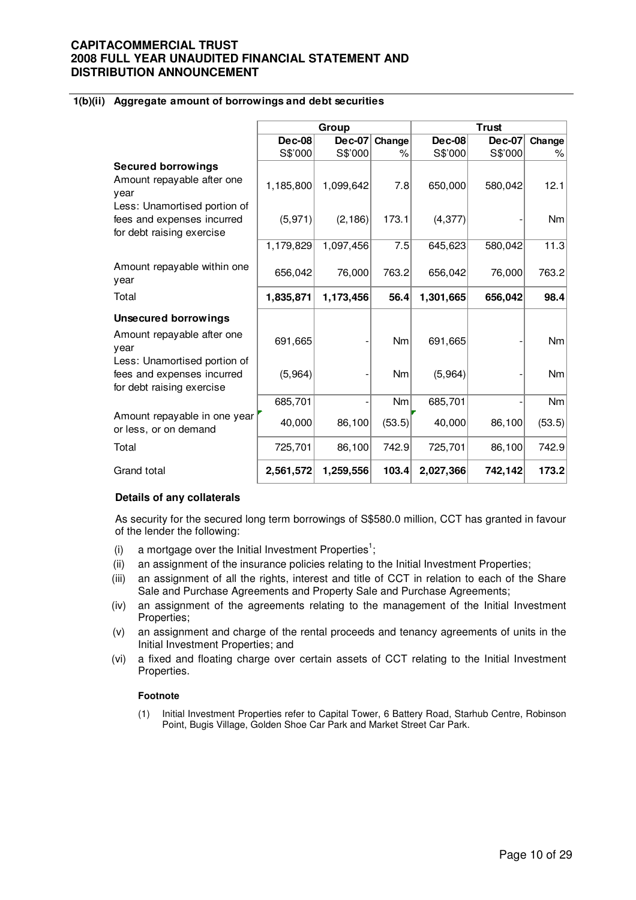#### **1(b)(ii) Aggregate amount of borrowings and debt securities**

|                                                                                                 |               | Group         |        |               | <b>Trust</b>  |           |  |
|-------------------------------------------------------------------------------------------------|---------------|---------------|--------|---------------|---------------|-----------|--|
|                                                                                                 | <b>Dec-08</b> | <b>Dec-07</b> | Change | <b>Dec-08</b> | <b>Dec-07</b> | Change    |  |
|                                                                                                 | S\$'000       | S\$'000       | $\%$   | S\$'000       | S\$'000       | %         |  |
| <b>Secured borrowings</b><br>Amount repayable after one<br>year<br>Less: Unamortised portion of | 1,185,800     | 1,099,642     | 7.8    | 650,000       | 580,042       | 12.1      |  |
| fees and expenses incurred<br>for debt raising exercise                                         | (5, 971)      | (2, 186)      | 173.1  | (4, 377)      |               | <b>Nm</b> |  |
|                                                                                                 | 1,179,829     | 1,097,456     | 7.5    | 645,623       | 580,042       | 11.3      |  |
| Amount repayable within one<br>year                                                             | 656,042       | 76,000        | 763.2  | 656,042       | 76,000        | 763.2     |  |
| Total                                                                                           | 1,835,871     | 1,173,456     | 56.4   | 1,301,665     | 656,042       | 98.4      |  |
| <b>Unsecured borrowings</b>                                                                     |               |               |        |               |               |           |  |
| Amount repayable after one<br>vear                                                              | 691,665       |               | Nm     | 691,665       |               | <b>Nm</b> |  |
| Less: Unamortised portion of<br>fees and expenses incurred<br>for debt raising exercise         | (5,964)       |               | Nm     | (5,964)       |               | Nm        |  |
|                                                                                                 | 685,701       |               | Nm     | 685,701       |               | Nm        |  |
| Amount repayable in one year<br>or less, or on demand                                           | 40,000        | 86,100        | (53.5) | 40,000        | 86,100        | (53.5)    |  |
| Total                                                                                           | 725,701       | 86,100        | 742.9  | 725,701       | 86,100        | 742.9     |  |
| Grand total                                                                                     | 2,561,572     | 1,259,556     | 103.4  | 2,027,366     | 742,142       | 173.2     |  |

#### **Details of any collaterals**

As security for the secured long term borrowings of S\$580.0 million, CCT has granted in favour of the lender the following:

- (i) a mortgage over the Initial Investment Properties<sup>1</sup>;
- (ii) an assignment of the insurance policies relating to the Initial Investment Properties;
- (iii) an assignment of all the rights, interest and title of CCT in relation to each of the Share Sale and Purchase Agreements and Property Sale and Purchase Agreements;
- (iv) an assignment of the agreements relating to the management of the Initial Investment Properties;
- (v) an assignment and charge of the rental proceeds and tenancy agreements of units in the Initial Investment Properties; and
- (vi) a fixed and floating charge over certain assets of CCT relating to the Initial Investment Properties.

#### **Footnote**

(1) Initial Investment Properties refer to Capital Tower, 6 Battery Road, Starhub Centre, Robinson Point, Bugis Village, Golden Shoe Car Park and Market Street Car Park.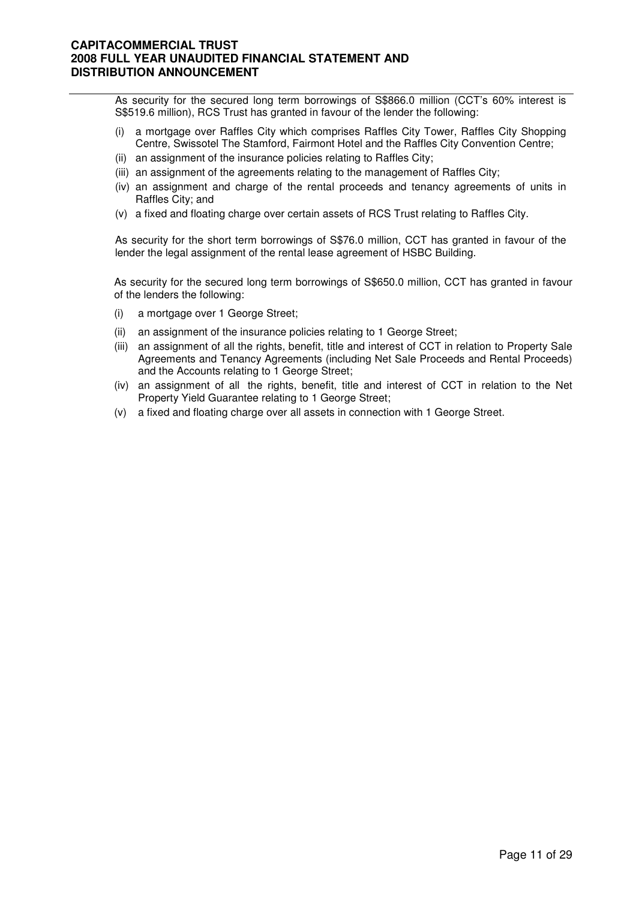As security for the secured long term borrowings of S\$866.0 million (CCT's 60% interest is S\$519.6 million), RCS Trust has granted in favour of the lender the following:

- (i) a mortgage over Raffles City which comprises Raffles City Tower, Raffles City Shopping Centre, Swissotel The Stamford, Fairmont Hotel and the Raffles City Convention Centre;
- (ii) an assignment of the insurance policies relating to Raffles City;
- (iii) an assignment of the agreements relating to the management of Raffles City;
- (iv) an assignment and charge of the rental proceeds and tenancy agreements of units in Raffles City; and
- (v) a fixed and floating charge over certain assets of RCS Trust relating to Raffles City.

As security for the short term borrowings of S\$76.0 million, CCT has granted in favour of the lender the legal assignment of the rental lease agreement of HSBC Building.

As security for the secured long term borrowings of S\$650.0 million, CCT has granted in favour of the lenders the following:

- (i) a mortgage over 1 George Street;
- (ii) an assignment of the insurance policies relating to 1 George Street;
- (iii) an assignment of all the rights, benefit, title and interest of CCT in relation to Property Sale Agreements and Tenancy Agreements (including Net Sale Proceeds and Rental Proceeds) and the Accounts relating to 1 George Street;
- (iv) an assignment of all the rights, benefit, title and interest of CCT in relation to the Net Property Yield Guarantee relating to 1 George Street;
- (v) a fixed and floating charge over all assets in connection with 1 George Street.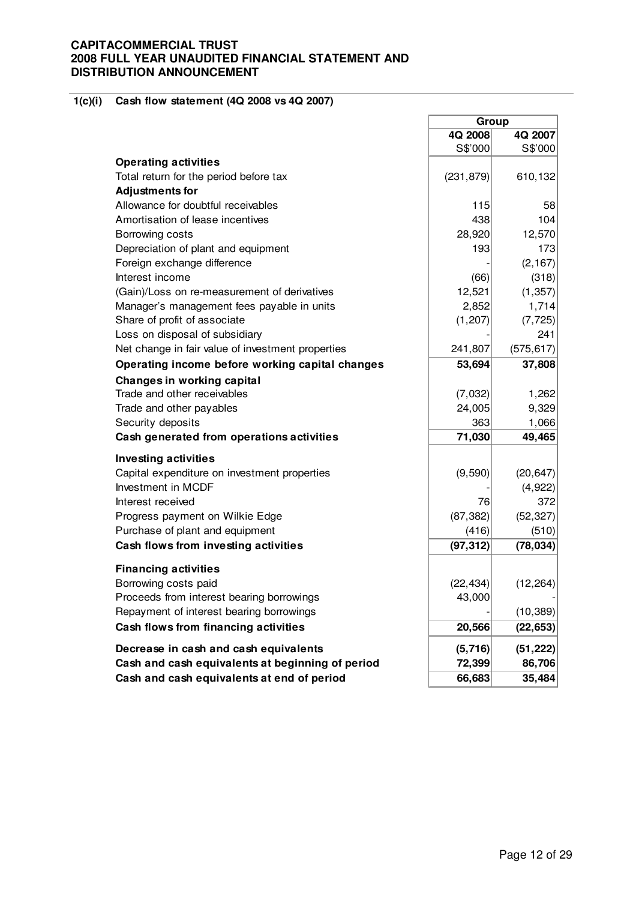#### **1(c)(i) Cash flow statement (4Q 2008 vs 4Q 2007)**

|                                                   | Group      |            |
|---------------------------------------------------|------------|------------|
|                                                   | 4Q 2008    | 4Q 2007    |
|                                                   | S\$'000    | S\$'000    |
| <b>Operating activities</b>                       |            |            |
| Total return for the period before tax            | (231, 879) | 610, 132   |
| <b>Adjustments for</b>                            |            |            |
| Allowance for doubtful receivables                | 115        | 58         |
| Amortisation of lease incentives                  | 438        | 104        |
| Borrowing costs                                   | 28,920     | 12,570     |
| Depreciation of plant and equipment               | 193        | 173        |
| Foreign exchange difference                       |            | (2, 167)   |
| Interest income                                   | (66)       | (318)      |
| (Gain)/Loss on re-measurement of derivatives      | 12,521     | (1, 357)   |
| Manager's management fees payable in units        | 2,852      | 1,714      |
| Share of profit of associate                      | (1, 207)   | (7, 725)   |
| Loss on disposal of subsidiary                    |            | 241        |
| Net change in fair value of investment properties | 241,807    | (575, 617) |
| Operating income before working capital changes   | 53,694     | 37,808     |
| Changes in working capital                        |            |            |
| Trade and other receivables                       | (7,032)    | 1,262      |
| Trade and other payables                          | 24,005     | 9,329      |
| Security deposits                                 | 363        | 1,066      |
| Cash generated from operations activities         | 71,030     | 49,465     |
| <b>Investing activities</b>                       |            |            |
| Capital expenditure on investment properties      | (9,590)    | (20, 647)  |
| Investment in MCDF                                |            | (4,922)    |
| Interest received                                 | 76         | 372        |
| Progress payment on Wilkie Edge                   | (87, 382)  | (52, 327)  |
| Purchase of plant and equipment                   | (416)      | (510)      |
| Cash flows from investing activities              | (97, 312)  | (78, 034)  |
| <b>Financing activities</b>                       |            |            |
| Borrowing costs paid                              | (22, 434)  | (12, 264)  |
| Proceeds from interest bearing borrowings         | 43,000     |            |
| Repayment of interest bearing borrowings          |            | (10, 389)  |
| Cash flows from financing activities              | 20,566     | (22, 653)  |
|                                                   |            |            |
| Decrease in cash and cash equivalents             | (5, 716)   | (51, 222)  |
| Cash and cash equivalents at beginning of period  | 72,399     | 86,706     |
| Cash and cash equivalents at end of period        | 66,683     | 35,484     |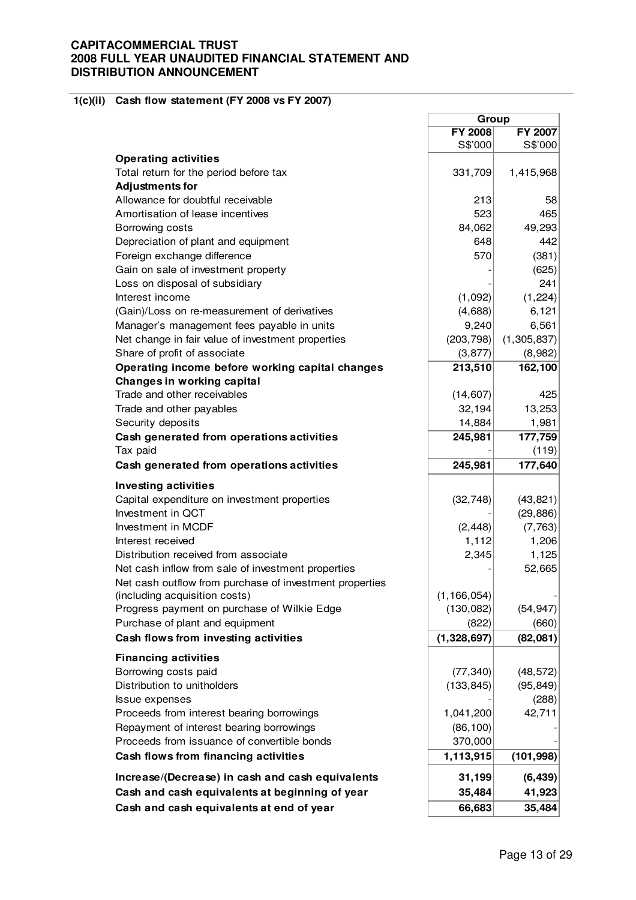#### **1(c)(ii) Cash flow statement (FY 2008 vs FY 2007)**

| FY 2008<br>S\$'000<br><b>Operating activities</b><br>Total return for the period before tax<br>331,709<br><b>Adjustments for</b><br>Allowance for doubtful receivable<br>213<br>Amortisation of lease incentives<br>523<br>84,062<br>Borrowing costs<br>Depreciation of plant and equipment<br>648<br>Foreign exchange difference<br>570<br>Gain on sale of investment property<br>Loss on disposal of subsidiary<br>Interest income<br>(1,092)<br>(Gain)/Loss on re-measurement of derivatives<br>(4,688)<br>Manager's management fees payable in units<br>9,240<br>(203, 798)<br>Net change in fair value of investment properties<br>Share of profit of associate<br>(3, 877)<br>Operating income before working capital changes<br>213,510<br>Changes in working capital<br>Trade and other receivables<br>(14, 607)<br>Trade and other payables<br>32,194<br>Security deposits<br>14,884<br>Cash generated from operations activities<br>245,981<br>Tax paid<br>Cash generated from operations activities<br>245,981<br><b>Investing activities</b><br>Capital expenditure on investment properties<br>(32, 748)<br>Investment in QCT<br>Investment in MCDF<br>(2, 448)<br>1,112<br>Interest received<br>Distribution received from associate<br>2,345<br>Net cash inflow from sale of investment properties<br>Net cash outflow from purchase of investment properties<br>(including acquisition costs)<br>(1, 166, 054)<br>Progress payment on purchase of Wilkie Edge<br>(130, 082)<br>Purchase of plant and equipment<br>(822)<br>Cash flows from investing activities<br>(1,328,697)<br><b>Financing activities</b><br>Borrowing costs paid<br>(77, 340)<br>Distribution to unitholders<br>(133, 845)<br>Issue expenses<br>Proceeds from interest bearing borrowings<br>1,041,200<br>Repayment of interest bearing borrowings<br>(86, 100)<br>Proceeds from issuance of convertible bonds<br>370,000<br>Cash flows from financing activities<br>1,113,915<br>Increase/(Decrease) in cash and cash equivalents<br>31,199<br>Cash and cash equivalents at beginning of year<br>35,484<br>66,683<br>Cash and cash equivalents at end of year | Group |             |
|-----------------------------------------------------------------------------------------------------------------------------------------------------------------------------------------------------------------------------------------------------------------------------------------------------------------------------------------------------------------------------------------------------------------------------------------------------------------------------------------------------------------------------------------------------------------------------------------------------------------------------------------------------------------------------------------------------------------------------------------------------------------------------------------------------------------------------------------------------------------------------------------------------------------------------------------------------------------------------------------------------------------------------------------------------------------------------------------------------------------------------------------------------------------------------------------------------------------------------------------------------------------------------------------------------------------------------------------------------------------------------------------------------------------------------------------------------------------------------------------------------------------------------------------------------------------------------------------------------------------------------------------------------------------------------------------------------------------------------------------------------------------------------------------------------------------------------------------------------------------------------------------------------------------------------------------------------------------------------------------------------------------------------------------------------------------------------------------------------------------------------------------------------|-------|-------------|
|                                                                                                                                                                                                                                                                                                                                                                                                                                                                                                                                                                                                                                                                                                                                                                                                                                                                                                                                                                                                                                                                                                                                                                                                                                                                                                                                                                                                                                                                                                                                                                                                                                                                                                                                                                                                                                                                                                                                                                                                                                                                                                                                                     |       | FY 2007     |
|                                                                                                                                                                                                                                                                                                                                                                                                                                                                                                                                                                                                                                                                                                                                                                                                                                                                                                                                                                                                                                                                                                                                                                                                                                                                                                                                                                                                                                                                                                                                                                                                                                                                                                                                                                                                                                                                                                                                                                                                                                                                                                                                                     |       | S\$'000     |
|                                                                                                                                                                                                                                                                                                                                                                                                                                                                                                                                                                                                                                                                                                                                                                                                                                                                                                                                                                                                                                                                                                                                                                                                                                                                                                                                                                                                                                                                                                                                                                                                                                                                                                                                                                                                                                                                                                                                                                                                                                                                                                                                                     |       |             |
|                                                                                                                                                                                                                                                                                                                                                                                                                                                                                                                                                                                                                                                                                                                                                                                                                                                                                                                                                                                                                                                                                                                                                                                                                                                                                                                                                                                                                                                                                                                                                                                                                                                                                                                                                                                                                                                                                                                                                                                                                                                                                                                                                     |       | 1,415,968   |
|                                                                                                                                                                                                                                                                                                                                                                                                                                                                                                                                                                                                                                                                                                                                                                                                                                                                                                                                                                                                                                                                                                                                                                                                                                                                                                                                                                                                                                                                                                                                                                                                                                                                                                                                                                                                                                                                                                                                                                                                                                                                                                                                                     |       |             |
|                                                                                                                                                                                                                                                                                                                                                                                                                                                                                                                                                                                                                                                                                                                                                                                                                                                                                                                                                                                                                                                                                                                                                                                                                                                                                                                                                                                                                                                                                                                                                                                                                                                                                                                                                                                                                                                                                                                                                                                                                                                                                                                                                     |       | 58          |
|                                                                                                                                                                                                                                                                                                                                                                                                                                                                                                                                                                                                                                                                                                                                                                                                                                                                                                                                                                                                                                                                                                                                                                                                                                                                                                                                                                                                                                                                                                                                                                                                                                                                                                                                                                                                                                                                                                                                                                                                                                                                                                                                                     |       | 465         |
|                                                                                                                                                                                                                                                                                                                                                                                                                                                                                                                                                                                                                                                                                                                                                                                                                                                                                                                                                                                                                                                                                                                                                                                                                                                                                                                                                                                                                                                                                                                                                                                                                                                                                                                                                                                                                                                                                                                                                                                                                                                                                                                                                     |       | 49,293      |
|                                                                                                                                                                                                                                                                                                                                                                                                                                                                                                                                                                                                                                                                                                                                                                                                                                                                                                                                                                                                                                                                                                                                                                                                                                                                                                                                                                                                                                                                                                                                                                                                                                                                                                                                                                                                                                                                                                                                                                                                                                                                                                                                                     |       | 442         |
|                                                                                                                                                                                                                                                                                                                                                                                                                                                                                                                                                                                                                                                                                                                                                                                                                                                                                                                                                                                                                                                                                                                                                                                                                                                                                                                                                                                                                                                                                                                                                                                                                                                                                                                                                                                                                                                                                                                                                                                                                                                                                                                                                     |       | (381)       |
|                                                                                                                                                                                                                                                                                                                                                                                                                                                                                                                                                                                                                                                                                                                                                                                                                                                                                                                                                                                                                                                                                                                                                                                                                                                                                                                                                                                                                                                                                                                                                                                                                                                                                                                                                                                                                                                                                                                                                                                                                                                                                                                                                     |       | (625)       |
|                                                                                                                                                                                                                                                                                                                                                                                                                                                                                                                                                                                                                                                                                                                                                                                                                                                                                                                                                                                                                                                                                                                                                                                                                                                                                                                                                                                                                                                                                                                                                                                                                                                                                                                                                                                                                                                                                                                                                                                                                                                                                                                                                     |       | 241         |
|                                                                                                                                                                                                                                                                                                                                                                                                                                                                                                                                                                                                                                                                                                                                                                                                                                                                                                                                                                                                                                                                                                                                                                                                                                                                                                                                                                                                                                                                                                                                                                                                                                                                                                                                                                                                                                                                                                                                                                                                                                                                                                                                                     |       | (1, 224)    |
|                                                                                                                                                                                                                                                                                                                                                                                                                                                                                                                                                                                                                                                                                                                                                                                                                                                                                                                                                                                                                                                                                                                                                                                                                                                                                                                                                                                                                                                                                                                                                                                                                                                                                                                                                                                                                                                                                                                                                                                                                                                                                                                                                     |       | 6,121       |
|                                                                                                                                                                                                                                                                                                                                                                                                                                                                                                                                                                                                                                                                                                                                                                                                                                                                                                                                                                                                                                                                                                                                                                                                                                                                                                                                                                                                                                                                                                                                                                                                                                                                                                                                                                                                                                                                                                                                                                                                                                                                                                                                                     |       | 6,561       |
|                                                                                                                                                                                                                                                                                                                                                                                                                                                                                                                                                                                                                                                                                                                                                                                                                                                                                                                                                                                                                                                                                                                                                                                                                                                                                                                                                                                                                                                                                                                                                                                                                                                                                                                                                                                                                                                                                                                                                                                                                                                                                                                                                     |       | (1,305,837) |
|                                                                                                                                                                                                                                                                                                                                                                                                                                                                                                                                                                                                                                                                                                                                                                                                                                                                                                                                                                                                                                                                                                                                                                                                                                                                                                                                                                                                                                                                                                                                                                                                                                                                                                                                                                                                                                                                                                                                                                                                                                                                                                                                                     |       | (8,982)     |
|                                                                                                                                                                                                                                                                                                                                                                                                                                                                                                                                                                                                                                                                                                                                                                                                                                                                                                                                                                                                                                                                                                                                                                                                                                                                                                                                                                                                                                                                                                                                                                                                                                                                                                                                                                                                                                                                                                                                                                                                                                                                                                                                                     |       | 162,100     |
|                                                                                                                                                                                                                                                                                                                                                                                                                                                                                                                                                                                                                                                                                                                                                                                                                                                                                                                                                                                                                                                                                                                                                                                                                                                                                                                                                                                                                                                                                                                                                                                                                                                                                                                                                                                                                                                                                                                                                                                                                                                                                                                                                     |       |             |
|                                                                                                                                                                                                                                                                                                                                                                                                                                                                                                                                                                                                                                                                                                                                                                                                                                                                                                                                                                                                                                                                                                                                                                                                                                                                                                                                                                                                                                                                                                                                                                                                                                                                                                                                                                                                                                                                                                                                                                                                                                                                                                                                                     |       | 425         |
|                                                                                                                                                                                                                                                                                                                                                                                                                                                                                                                                                                                                                                                                                                                                                                                                                                                                                                                                                                                                                                                                                                                                                                                                                                                                                                                                                                                                                                                                                                                                                                                                                                                                                                                                                                                                                                                                                                                                                                                                                                                                                                                                                     |       | 13,253      |
|                                                                                                                                                                                                                                                                                                                                                                                                                                                                                                                                                                                                                                                                                                                                                                                                                                                                                                                                                                                                                                                                                                                                                                                                                                                                                                                                                                                                                                                                                                                                                                                                                                                                                                                                                                                                                                                                                                                                                                                                                                                                                                                                                     |       | 1,981       |
|                                                                                                                                                                                                                                                                                                                                                                                                                                                                                                                                                                                                                                                                                                                                                                                                                                                                                                                                                                                                                                                                                                                                                                                                                                                                                                                                                                                                                                                                                                                                                                                                                                                                                                                                                                                                                                                                                                                                                                                                                                                                                                                                                     |       | 177,759     |
|                                                                                                                                                                                                                                                                                                                                                                                                                                                                                                                                                                                                                                                                                                                                                                                                                                                                                                                                                                                                                                                                                                                                                                                                                                                                                                                                                                                                                                                                                                                                                                                                                                                                                                                                                                                                                                                                                                                                                                                                                                                                                                                                                     |       | (119)       |
|                                                                                                                                                                                                                                                                                                                                                                                                                                                                                                                                                                                                                                                                                                                                                                                                                                                                                                                                                                                                                                                                                                                                                                                                                                                                                                                                                                                                                                                                                                                                                                                                                                                                                                                                                                                                                                                                                                                                                                                                                                                                                                                                                     |       | 177,640     |
|                                                                                                                                                                                                                                                                                                                                                                                                                                                                                                                                                                                                                                                                                                                                                                                                                                                                                                                                                                                                                                                                                                                                                                                                                                                                                                                                                                                                                                                                                                                                                                                                                                                                                                                                                                                                                                                                                                                                                                                                                                                                                                                                                     |       |             |
|                                                                                                                                                                                                                                                                                                                                                                                                                                                                                                                                                                                                                                                                                                                                                                                                                                                                                                                                                                                                                                                                                                                                                                                                                                                                                                                                                                                                                                                                                                                                                                                                                                                                                                                                                                                                                                                                                                                                                                                                                                                                                                                                                     |       | (43, 821)   |
|                                                                                                                                                                                                                                                                                                                                                                                                                                                                                                                                                                                                                                                                                                                                                                                                                                                                                                                                                                                                                                                                                                                                                                                                                                                                                                                                                                                                                                                                                                                                                                                                                                                                                                                                                                                                                                                                                                                                                                                                                                                                                                                                                     |       | (29, 886)   |
|                                                                                                                                                                                                                                                                                                                                                                                                                                                                                                                                                                                                                                                                                                                                                                                                                                                                                                                                                                                                                                                                                                                                                                                                                                                                                                                                                                                                                                                                                                                                                                                                                                                                                                                                                                                                                                                                                                                                                                                                                                                                                                                                                     |       | (7,763)     |
|                                                                                                                                                                                                                                                                                                                                                                                                                                                                                                                                                                                                                                                                                                                                                                                                                                                                                                                                                                                                                                                                                                                                                                                                                                                                                                                                                                                                                                                                                                                                                                                                                                                                                                                                                                                                                                                                                                                                                                                                                                                                                                                                                     |       | 1,206       |
|                                                                                                                                                                                                                                                                                                                                                                                                                                                                                                                                                                                                                                                                                                                                                                                                                                                                                                                                                                                                                                                                                                                                                                                                                                                                                                                                                                                                                                                                                                                                                                                                                                                                                                                                                                                                                                                                                                                                                                                                                                                                                                                                                     |       | 1,125       |
|                                                                                                                                                                                                                                                                                                                                                                                                                                                                                                                                                                                                                                                                                                                                                                                                                                                                                                                                                                                                                                                                                                                                                                                                                                                                                                                                                                                                                                                                                                                                                                                                                                                                                                                                                                                                                                                                                                                                                                                                                                                                                                                                                     |       | 52,665      |
|                                                                                                                                                                                                                                                                                                                                                                                                                                                                                                                                                                                                                                                                                                                                                                                                                                                                                                                                                                                                                                                                                                                                                                                                                                                                                                                                                                                                                                                                                                                                                                                                                                                                                                                                                                                                                                                                                                                                                                                                                                                                                                                                                     |       |             |
|                                                                                                                                                                                                                                                                                                                                                                                                                                                                                                                                                                                                                                                                                                                                                                                                                                                                                                                                                                                                                                                                                                                                                                                                                                                                                                                                                                                                                                                                                                                                                                                                                                                                                                                                                                                                                                                                                                                                                                                                                                                                                                                                                     |       |             |
|                                                                                                                                                                                                                                                                                                                                                                                                                                                                                                                                                                                                                                                                                                                                                                                                                                                                                                                                                                                                                                                                                                                                                                                                                                                                                                                                                                                                                                                                                                                                                                                                                                                                                                                                                                                                                                                                                                                                                                                                                                                                                                                                                     |       | (54, 947)   |
|                                                                                                                                                                                                                                                                                                                                                                                                                                                                                                                                                                                                                                                                                                                                                                                                                                                                                                                                                                                                                                                                                                                                                                                                                                                                                                                                                                                                                                                                                                                                                                                                                                                                                                                                                                                                                                                                                                                                                                                                                                                                                                                                                     |       | (660)       |
|                                                                                                                                                                                                                                                                                                                                                                                                                                                                                                                                                                                                                                                                                                                                                                                                                                                                                                                                                                                                                                                                                                                                                                                                                                                                                                                                                                                                                                                                                                                                                                                                                                                                                                                                                                                                                                                                                                                                                                                                                                                                                                                                                     |       | (82,081)    |
|                                                                                                                                                                                                                                                                                                                                                                                                                                                                                                                                                                                                                                                                                                                                                                                                                                                                                                                                                                                                                                                                                                                                                                                                                                                                                                                                                                                                                                                                                                                                                                                                                                                                                                                                                                                                                                                                                                                                                                                                                                                                                                                                                     |       |             |
|                                                                                                                                                                                                                                                                                                                                                                                                                                                                                                                                                                                                                                                                                                                                                                                                                                                                                                                                                                                                                                                                                                                                                                                                                                                                                                                                                                                                                                                                                                                                                                                                                                                                                                                                                                                                                                                                                                                                                                                                                                                                                                                                                     |       | (48, 572)   |
|                                                                                                                                                                                                                                                                                                                                                                                                                                                                                                                                                                                                                                                                                                                                                                                                                                                                                                                                                                                                                                                                                                                                                                                                                                                                                                                                                                                                                                                                                                                                                                                                                                                                                                                                                                                                                                                                                                                                                                                                                                                                                                                                                     |       | (95, 849)   |
|                                                                                                                                                                                                                                                                                                                                                                                                                                                                                                                                                                                                                                                                                                                                                                                                                                                                                                                                                                                                                                                                                                                                                                                                                                                                                                                                                                                                                                                                                                                                                                                                                                                                                                                                                                                                                                                                                                                                                                                                                                                                                                                                                     |       | (288)       |
|                                                                                                                                                                                                                                                                                                                                                                                                                                                                                                                                                                                                                                                                                                                                                                                                                                                                                                                                                                                                                                                                                                                                                                                                                                                                                                                                                                                                                                                                                                                                                                                                                                                                                                                                                                                                                                                                                                                                                                                                                                                                                                                                                     |       | 42,711      |
|                                                                                                                                                                                                                                                                                                                                                                                                                                                                                                                                                                                                                                                                                                                                                                                                                                                                                                                                                                                                                                                                                                                                                                                                                                                                                                                                                                                                                                                                                                                                                                                                                                                                                                                                                                                                                                                                                                                                                                                                                                                                                                                                                     |       |             |
|                                                                                                                                                                                                                                                                                                                                                                                                                                                                                                                                                                                                                                                                                                                                                                                                                                                                                                                                                                                                                                                                                                                                                                                                                                                                                                                                                                                                                                                                                                                                                                                                                                                                                                                                                                                                                                                                                                                                                                                                                                                                                                                                                     |       |             |
|                                                                                                                                                                                                                                                                                                                                                                                                                                                                                                                                                                                                                                                                                                                                                                                                                                                                                                                                                                                                                                                                                                                                                                                                                                                                                                                                                                                                                                                                                                                                                                                                                                                                                                                                                                                                                                                                                                                                                                                                                                                                                                                                                     |       | (101, 998)  |
|                                                                                                                                                                                                                                                                                                                                                                                                                                                                                                                                                                                                                                                                                                                                                                                                                                                                                                                                                                                                                                                                                                                                                                                                                                                                                                                                                                                                                                                                                                                                                                                                                                                                                                                                                                                                                                                                                                                                                                                                                                                                                                                                                     |       | (6, 439)    |
|                                                                                                                                                                                                                                                                                                                                                                                                                                                                                                                                                                                                                                                                                                                                                                                                                                                                                                                                                                                                                                                                                                                                                                                                                                                                                                                                                                                                                                                                                                                                                                                                                                                                                                                                                                                                                                                                                                                                                                                                                                                                                                                                                     |       | 41,923      |
|                                                                                                                                                                                                                                                                                                                                                                                                                                                                                                                                                                                                                                                                                                                                                                                                                                                                                                                                                                                                                                                                                                                                                                                                                                                                                                                                                                                                                                                                                                                                                                                                                                                                                                                                                                                                                                                                                                                                                                                                                                                                                                                                                     |       | 35,484      |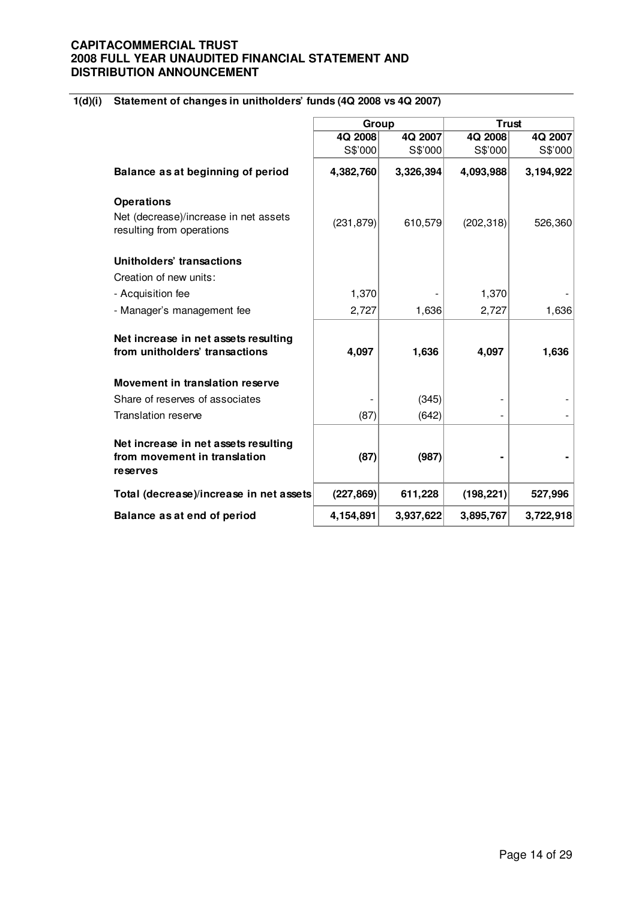# **1(d)(i) Statement of changes in unitholders' funds (4Q 2008 vs 4Q 2007)**

|                                                                    | Group      |           |            | <b>Trust</b> |  |
|--------------------------------------------------------------------|------------|-----------|------------|--------------|--|
|                                                                    | 4Q 2008    | 4Q 2007   | 4Q 2008    | 4Q 2007      |  |
|                                                                    | S\$'000    | S\$'000   | S\$'000    | S\$'000      |  |
| Balance as at beginning of period                                  | 4,382,760  | 3,326,394 | 4,093,988  | 3,194,922    |  |
| <b>Operations</b>                                                  |            |           |            |              |  |
| Net (decrease)/increase in net assets<br>resulting from operations | (231, 879) | 610,579   | (202, 318) | 526,360      |  |
| Unitholders' transactions                                          |            |           |            |              |  |
| Creation of new units:                                             |            |           |            |              |  |
| - Acquisition fee                                                  | 1,370      |           | 1,370      |              |  |
| - Manager's management fee                                         | 2,727      | 1,636     | 2,727      | 1,636        |  |
| Net increase in net assets resulting                               |            |           |            |              |  |
| from unitholders' transactions                                     | 4,097      | 1,636     | 4,097      | 1,636        |  |
| Movement in translation reserve                                    |            |           |            |              |  |
| Share of reserves of associates                                    |            | (345)     |            |              |  |
| <b>Translation reserve</b>                                         | (87)       | (642)     |            |              |  |
| Net increase in net assets resulting                               |            |           |            |              |  |
| from movement in translation<br>reserves                           | (87)       | (987)     |            |              |  |
| Total (decrease)/increase in net assets                            | (227, 869) | 611,228   | (198, 221) | 527,996      |  |
| Balance as at end of period                                        | 4,154,891  | 3,937,622 | 3,895,767  | 3,722,918    |  |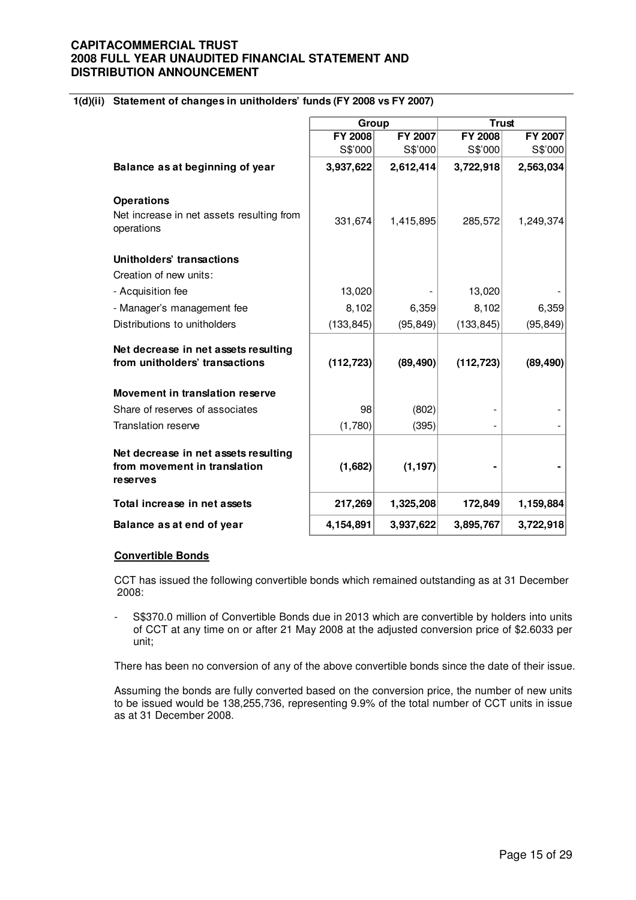# **1(d)(ii) Statement of changes in unitholders' funds (FY 2008 vs FY 2007)**

|                                                                                  | Group          |                | <b>Trust</b>   |           |
|----------------------------------------------------------------------------------|----------------|----------------|----------------|-----------|
|                                                                                  | <b>FY 2008</b> | <b>FY 2007</b> | <b>FY 2008</b> | FY 2007   |
|                                                                                  | S\$'000        | S\$'000        | S\$'000        | S\$'000   |
| Balance as at beginning of year                                                  | 3,937,622      | 2,612,414      | 3,722,918      | 2,563,034 |
| <b>Operations</b>                                                                |                |                |                |           |
| Net increase in net assets resulting from<br>operations                          | 331,674        | 1,415,895      | 285,572        | 1,249,374 |
| Unitholders' transactions                                                        |                |                |                |           |
| Creation of new units:                                                           |                |                |                |           |
| - Acquisition fee                                                                | 13,020         |                | 13,020         |           |
| - Manager's management fee                                                       | 8,102          | 6,359          | 8,102          | 6,359     |
| Distributions to unitholders                                                     | (133, 845)     | (95, 849)      | (133, 845)     | (95, 849) |
| Net decrease in net assets resulting<br>from unitholders' transactions           | (112, 723)     | (89, 490)      | (112, 723)     | (89, 490) |
| Movement in translation reserve                                                  |                |                |                |           |
| Share of reserves of associates                                                  | 98             | (802)          |                |           |
| Translation reserve                                                              | (1,780)        | (395)          |                |           |
| Net decrease in net assets resulting<br>from movement in translation<br>reserves | (1,682)        | (1, 197)       |                |           |
| Total increase in net assets                                                     | 217,269        | 1,325,208      | 172,849        | 1,159,884 |
| Balance as at end of year                                                        | 4,154,891      | 3,937,622      | 3,895,767      | 3,722,918 |

#### **Convertible Bonds**

CCT has issued the following convertible bonds which remained outstanding as at 31 December 2008:

- S\$370.0 million of Convertible Bonds due in 2013 which are convertible by holders into units of CCT at any time on or after 21 May 2008 at the adjusted conversion price of \$2.6033 per unit;

There has been no conversion of any of the above convertible bonds since the date of their issue.

Assuming the bonds are fully converted based on the conversion price, the number of new units to be issued would be 138,255,736, representing 9.9% of the total number of CCT units in issue as at 31 December 2008.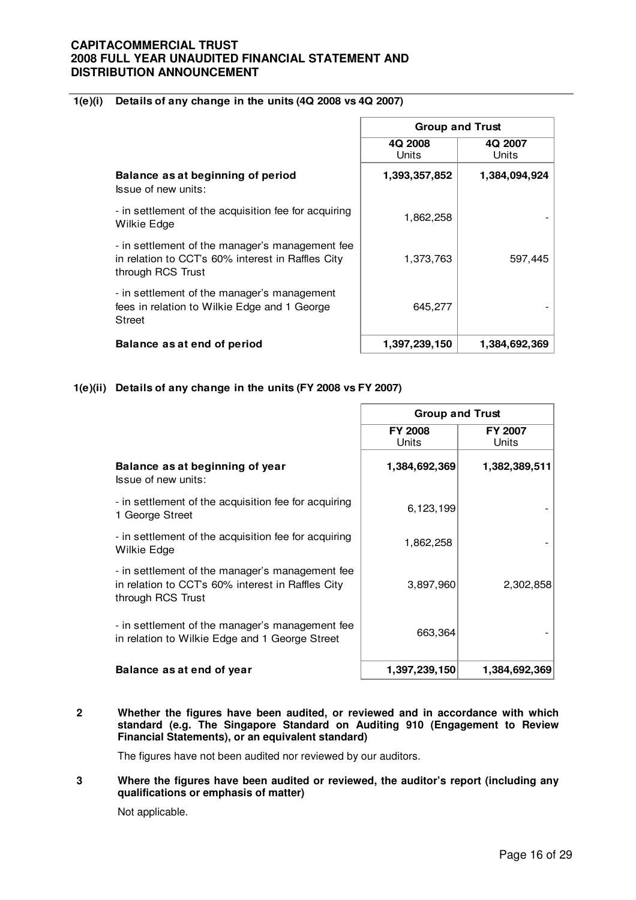# **1(e)(i) Details of any change in the units (4Q 2008 vs 4Q 2007)**

|                                                                                                                           | <b>Group and Trust</b> |                  |
|---------------------------------------------------------------------------------------------------------------------------|------------------------|------------------|
|                                                                                                                           | 4Q 2008<br>Units       | 4Q 2007<br>Units |
| Balance as at beginning of period<br>Issue of new units:                                                                  | 1,393,357,852          | 1,384,094,924    |
| - in settlement of the acquisition fee for acquiring<br>Wilkie Edge                                                       | 1,862,258              |                  |
| - in settlement of the manager's management fee<br>in relation to CCT's 60% interest in Raffles City<br>through RCS Trust | 1,373,763              | 597,445          |
| - in settlement of the manager's management<br>fees in relation to Wilkie Edge and 1 George<br><b>Street</b>              | 645,277                |                  |
| Balance as at end of period                                                                                               | 1,397,239,150          | 1,384,692,369    |

# **1(e)(ii) Details of any change in the units (FY 2008 vs FY 2007)**

|                                                                                                                           | <b>Group and Trust</b>  |                         |  |
|---------------------------------------------------------------------------------------------------------------------------|-------------------------|-------------------------|--|
|                                                                                                                           | <b>FY 2008</b><br>Units | <b>FY 2007</b><br>Units |  |
| Balance as at beginning of year<br>Issue of new units:                                                                    | 1,384,692,369           | 1,382,389,511           |  |
| - in settlement of the acquisition fee for acquiring<br>1 George Street                                                   | 6,123,199               |                         |  |
| - in settlement of the acquisition fee for acquiring<br>Wilkie Edge                                                       | 1,862,258               |                         |  |
| - in settlement of the manager's management fee<br>in relation to CCT's 60% interest in Raffles City<br>through RCS Trust | 3,897,960               | 2,302,858               |  |
| - in settlement of the manager's management fee<br>in relation to Wilkie Edge and 1 George Street                         | 663,364                 |                         |  |
| Balance as at end of year                                                                                                 | 1,397,239,150           | 1,384,692,369           |  |

#### **2 Whether the figures have been audited, or reviewed and in accordance with which standard (e.g. The Singapore Standard on Auditing 910 (Engagement to Review Financial Statements), or an equivalent standard)**

The figures have not been audited nor reviewed by our auditors.

#### **3 Where the figures have been audited or reviewed, the auditor's report (including any qualifications or emphasis of matter)**

Not applicable.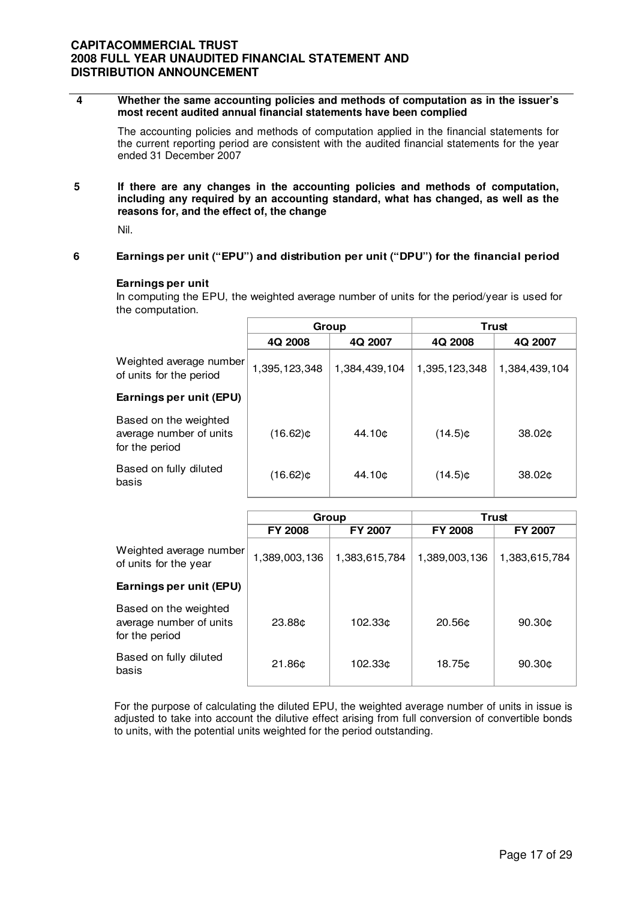#### **4 Whether the same accounting policies and methods of computation as in the issuer's most recent audited annual financial statements have been complied**

The accounting policies and methods of computation applied in the financial statements for the current reporting period are consistent with the audited financial statements for the year ended 31 December 2007

**5 If there are any changes in the accounting policies and methods of computation, including any required by an accounting standard, what has changed, as well as the reasons for, and the effect of, the change** 

Nil.

#### **6 Earnings per unit ("EPU") and distribution per unit ("DPU") for the financial period**

#### **Earnings per unit**

In computing the EPU, the weighted average number of units for the period/year is used for the computation.

|                                                                    | Group         |               |               | Trust              |  |
|--------------------------------------------------------------------|---------------|---------------|---------------|--------------------|--|
|                                                                    | 4Q 2008       | 4Q 2007       | 4Q 2008       | 4Q 2007            |  |
| Weighted average number<br>of units for the period                 | 1,395,123,348 | 1,384,439,104 | 1,395,123,348 | 1,384,439,104      |  |
| Earnings per unit (EPU)                                            |               |               |               |                    |  |
| Based on the weighted<br>average number of units<br>for the period | (16.62)¢      | 44.10¢        | $(14.5)$ ¢    | 38.02 <sub>0</sub> |  |
| Based on fully diluted<br>basis                                    | (16.62)¢      | 44.10¢        | $(14.5)$ ¢    | 38.02 <sub>0</sub> |  |

|                                                                    |                    | Group          |                    | Trust              |
|--------------------------------------------------------------------|--------------------|----------------|--------------------|--------------------|
|                                                                    | <b>FY 2008</b>     | <b>FY 2007</b> | <b>FY 2008</b>     | <b>FY 2007</b>     |
| Weighted average number<br>of units for the year                   | 1,389,003,136      | 1,383,615,784  | 1,389,003,136      | 1,383,615,784      |
| Earnings per unit (EPU)                                            |                    |                |                    |                    |
| Based on the weighted<br>average number of units<br>for the period | 23.88¢             | 102.33¢        | 20.56 <sub>0</sub> | 90.30 <sub>0</sub> |
| Based on fully diluted<br>basis                                    | 21.86 <sub>¢</sub> | 102.33¢        | 18.75¢             | 90.30c             |

For the purpose of calculating the diluted EPU, the weighted average number of units in issue is adjusted to take into account the dilutive effect arising from full conversion of convertible bonds to units, with the potential units weighted for the period outstanding.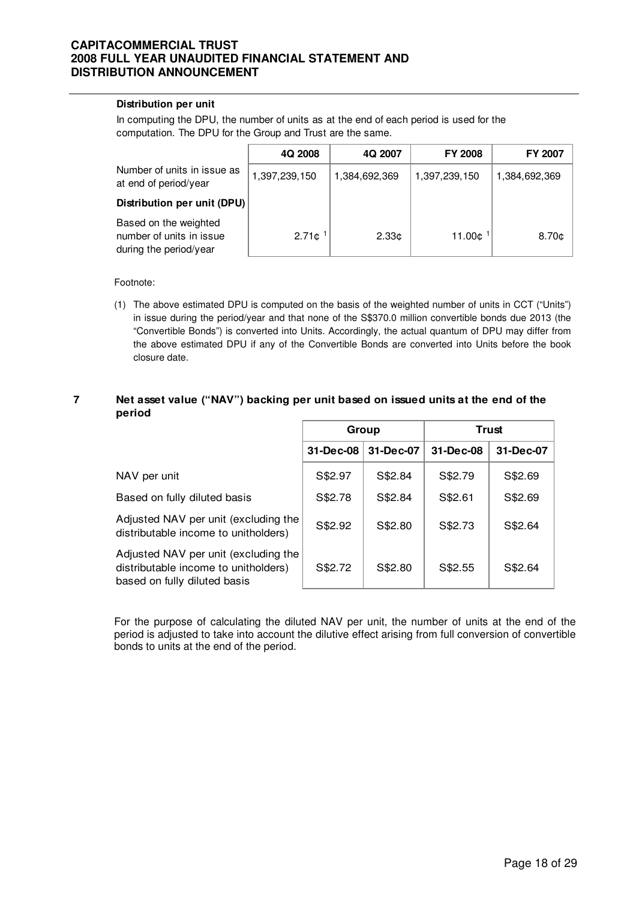#### **Distribution per unit**

In computing the DPU, the number of units as at the end of each period is used for the computation. The DPU for the Group and Trust are the same.

|                                                                             | 4Q 2008            | 4Q 2007           | <b>FY 2008</b> | <b>FY 2007</b>    |
|-----------------------------------------------------------------------------|--------------------|-------------------|----------------|-------------------|
| Number of units in issue as<br>at end of period/year                        | 1,397,239,150      | 1,384,692,369     | 1,397,239,150  | 1,384,692,369     |
| Distribution per unit (DPU)                                                 |                    |                   |                |                   |
| Based on the weighted<br>number of units in issue<br>during the period/year | 2.71c <sup>1</sup> | 2.33 <sub>0</sub> | 11.00¢         | 8.70 <sub>¢</sub> |

Footnote:

(1) The above estimated DPU is computed on the basis of the weighted number of units in CCT ("Units") in issue during the period/year and that none of the S\$370.0 million convertible bonds due 2013 (the "Convertible Bonds") is converted into Units. Accordingly, the actual quantum of DPU may differ from the above estimated DPU if any of the Convertible Bonds are converted into Units before the book closure date.

#### **7 Net asset value ("NAV") backing per unit based on issued units at the end of the period**

|                                                                                                              | Group     |           |           | Trust     |
|--------------------------------------------------------------------------------------------------------------|-----------|-----------|-----------|-----------|
|                                                                                                              | 31-Dec-08 | 31-Dec-07 | 31-Dec-08 | 31-Dec-07 |
| NAV per unit                                                                                                 | S\$2.97   | S\$2.84   | S\$2.79   | S\$2.69   |
| Based on fully diluted basis                                                                                 | S\$2.78   | S\$2.84   | S\$2.61   | S\$2.69   |
| Adjusted NAV per unit (excluding the<br>distributable income to unitholders)                                 | S\$2.92   | S\$2.80   | S\$2.73   | S\$2.64   |
| Adjusted NAV per unit (excluding the<br>distributable income to unitholders)<br>based on fully diluted basis | S\$2.72   | S\$2.80   | S\$2.55   | S\$2.64   |

For the purpose of calculating the diluted NAV per unit, the number of units at the end of the period is adjusted to take into account the dilutive effect arising from full conversion of convertible bonds to units at the end of the period.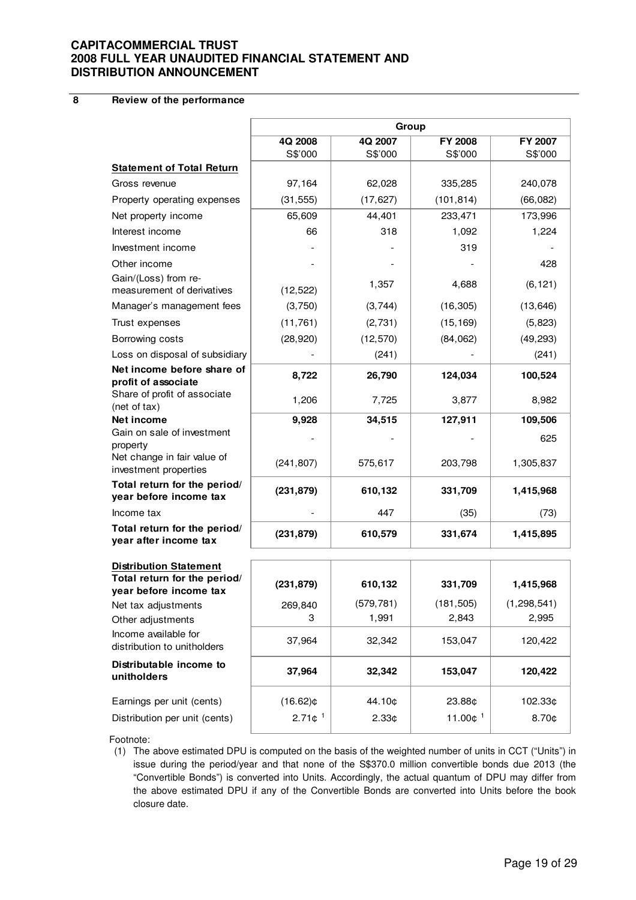**8 Review of the performance**

|                                                                                         | Group       |            |            |               |  |
|-----------------------------------------------------------------------------------------|-------------|------------|------------|---------------|--|
|                                                                                         | 4Q 2008     | 4Q 2007    | FY 2008    | FY 2007       |  |
|                                                                                         | S\$'000     | S\$'000    | S\$'000    | S\$'000       |  |
| <b>Statement of Total Return</b>                                                        |             |            |            |               |  |
| Gross revenue                                                                           | 97,164      | 62,028     | 335,285    | 240,078       |  |
| Property operating expenses                                                             | (31, 555)   | (17, 627)  | (101, 814) | (66,082)      |  |
| Net property income                                                                     | 65,609      | 44,401     | 233,471    | 173,996       |  |
| Interest income                                                                         | 66          | 318        | 1,092      | 1,224         |  |
| Investment income                                                                       |             |            | 319        |               |  |
| Other income                                                                            |             |            |            | 428           |  |
| Gain/(Loss) from re-<br>measurement of derivatives                                      | (12, 522)   | 1,357      | 4,688      | (6, 121)      |  |
| Manager's management fees                                                               | (3,750)     | (3,744)    | (16, 305)  | (13, 646)     |  |
| Trust expenses                                                                          | (11, 761)   | (2,731)    | (15, 169)  | (5,823)       |  |
| Borrowing costs                                                                         | (28, 920)   | (12, 570)  | (84,062)   | (49, 293)     |  |
| Loss on disposal of subsidiary                                                          |             | (241)      |            | (241)         |  |
| Net income before share of<br>profit of associate                                       | 8,722       | 26,790     | 124,034    | 100,524       |  |
| Share of profit of associate<br>(net of tax)                                            | 1,206       | 7,725      | 3,877      | 8,982         |  |
| Net income                                                                              | 9,928       | 34,515     | 127,911    | 109,506       |  |
| Gain on sale of investment                                                              |             |            |            | 625           |  |
| property<br>Net change in fair value of<br>investment properties                        | (241, 807)  | 575,617    | 203,798    | 1,305,837     |  |
| Total return for the period/<br>year before income tax                                  | (231, 879)  | 610,132    | 331,709    | 1,415,968     |  |
| Income tax                                                                              |             | 447        | (35)       | (73)          |  |
| Total return for the period/<br>year after income tax                                   | (231, 879)  | 610,579    | 331,674    | 1,415,895     |  |
|                                                                                         |             |            |            |               |  |
| <b>Distribution Statement</b><br>Total return for the period/<br>year before income tax | (231, 879)  | 610,132    | 331,709    | 1,415,968     |  |
| Net tax adjustments                                                                     | 269,840     | (579, 781) | (181, 505) | (1, 298, 541) |  |
| Other adjustments                                                                       | 3           | 1,991      | 2,843      | 2,995         |  |
| Income available for<br>distribution to unitholders                                     | 37,964      | 32,342     | 153,047    | 120,422       |  |
| Distributable income to<br>unitholders                                                  | 37,964      | 32,342     | 153,047    | 120,422       |  |
| Earnings per unit (cents)                                                               | $(16.62)$ ¢ | 44.10¢     | 23.88¢     | 102.33¢       |  |

Footnote:

(1) The above estimated DPU is computed on the basis of the weighted number of units in CCT ("Units") in issue during the period/year and that none of the S\$370.0 million convertible bonds due 2013 (the "Convertible Bonds") is converted into Units. Accordingly, the actual quantum of DPU may differ from the above estimated DPU if any of the Convertible Bonds are converted into Units before the book closure date.

Distribution per unit (cents)  $\begin{vmatrix} 2.71\text{ }c^1 & 2.33\text{ }c^1 & 11.00\text{ }c^1 & 8.70\text{ }c^2 \end{vmatrix}$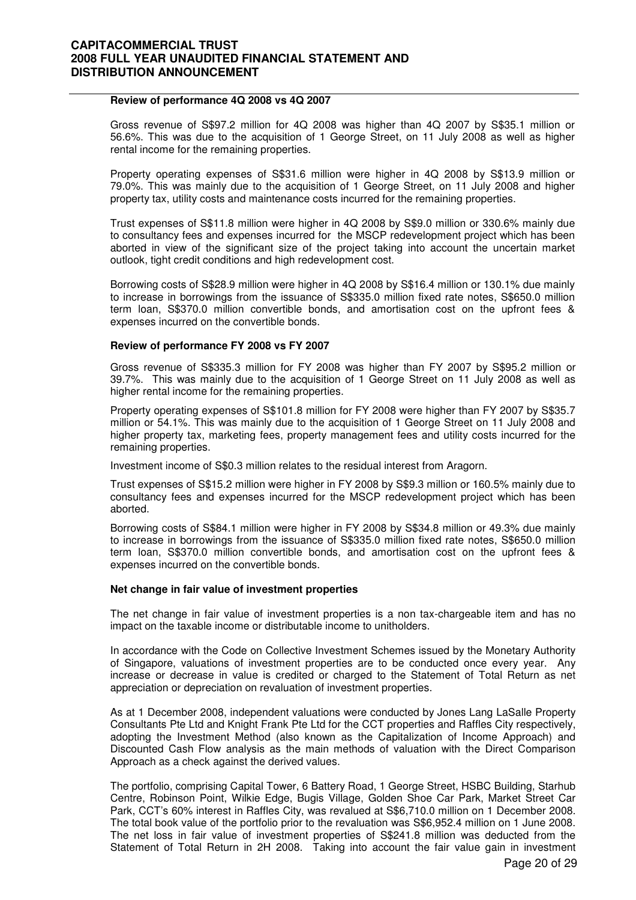# **Review of performance 4Q 2008 vs 4Q 2007**

 Gross revenue of S\$97.2 million for 4Q 2008 was higher than 4Q 2007 by S\$35.1 million or 56.6%. This was due to the acquisition of 1 George Street, on 11 July 2008 as well as higher rental income for the remaining properties.

Property operating expenses of S\$31.6 million were higher in 4Q 2008 by S\$13.9 million or 79.0%. This was mainly due to the acquisition of 1 George Street, on 11 July 2008 and higher property tax, utility costs and maintenance costs incurred for the remaining properties.

Trust expenses of S\$11.8 million were higher in 4Q 2008 by S\$9.0 million or 330.6% mainly due to consultancy fees and expenses incurred for the MSCP redevelopment project which has been aborted in view of the significant size of the project taking into account the uncertain market outlook, tight credit conditions and high redevelopment cost.

Borrowing costs of S\$28.9 million were higher in 4Q 2008 by S\$16.4 million or 130.1% due mainly to increase in borrowings from the issuance of S\$335.0 million fixed rate notes, S\$650.0 million term loan, S\$370.0 million convertible bonds, and amortisation cost on the upfront fees & expenses incurred on the convertible bonds.

#### **Review of performance FY 2008 vs FY 2007**

 Gross revenue of S\$335.3 million for FY 2008 was higher than FY 2007 by S\$95.2 million or 39.7%. This was mainly due to the acquisition of 1 George Street on 11 July 2008 as well as higher rental income for the remaining properties.

Property operating expenses of S\$101.8 million for FY 2008 were higher than FY 2007 by S\$35.7 million or 54.1%. This was mainly due to the acquisition of 1 George Street on 11 July 2008 and higher property tax, marketing fees, property management fees and utility costs incurred for the remaining properties.

Investment income of S\$0.3 million relates to the residual interest from Aragorn.

Trust expenses of S\$15.2 million were higher in FY 2008 by S\$9.3 million or 160.5% mainly due to consultancy fees and expenses incurred for the MSCP redevelopment project which has been aborted.

Borrowing costs of S\$84.1 million were higher in FY 2008 by S\$34.8 million or 49.3% due mainly to increase in borrowings from the issuance of S\$335.0 million fixed rate notes, S\$650.0 million term loan, S\$370.0 million convertible bonds, and amortisation cost on the upfront fees & expenses incurred on the convertible bonds.

#### **Net change in fair value of investment properties**

 The net change in fair value of investment properties is a non tax-chargeable item and has no impact on the taxable income or distributable income to unitholders.

In accordance with the Code on Collective Investment Schemes issued by the Monetary Authority of Singapore, valuations of investment properties are to be conducted once every year. Any increase or decrease in value is credited or charged to the Statement of Total Return as net appreciation or depreciation on revaluation of investment properties.

As at 1 December 2008, independent valuations were conducted by Jones Lang LaSalle Property Consultants Pte Ltd and Knight Frank Pte Ltd for the CCT properties and Raffles City respectively, adopting the Investment Method (also known as the Capitalization of Income Approach) and Discounted Cash Flow analysis as the main methods of valuation with the Direct Comparison Approach as a check against the derived values.

The portfolio, comprising Capital Tower, 6 Battery Road, 1 George Street, HSBC Building, Starhub Centre, Robinson Point, Wilkie Edge, Bugis Village, Golden Shoe Car Park, Market Street Car Park, CCT's 60% interest in Raffles City, was revalued at S\$6,710.0 million on 1 December 2008. The total book value of the portfolio prior to the revaluation was S\$6,952.4 million on 1 June 2008. The net loss in fair value of investment properties of S\$241.8 million was deducted from the Statement of Total Return in 2H 2008. Taking into account the fair value gain in investment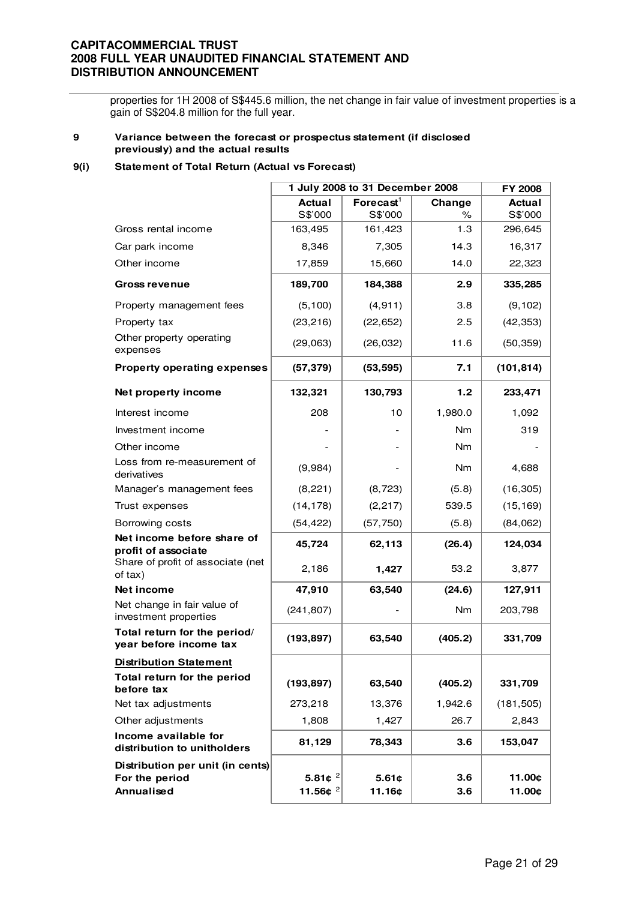properties for 1H 2008 of S\$445.6 million, the net change in fair value of investment properties is a gain of S\$204.8 million for the full year.

#### **9 Variance between the forecast or prospectus statement (if disclosed previously) and the actual results**

#### **9(i) Statement of Total Return (Actual vs Forecast)**

|                                                                  |                                      | 1 July 2008 to 31 December 2008 |                  | <b>FY 2008</b>           |
|------------------------------------------------------------------|--------------------------------------|---------------------------------|------------------|--------------------------|
|                                                                  | <b>Actual</b><br>S\$'000             | Forecast $1$<br>S\$'000         | Change<br>℅      | <b>Actual</b><br>S\$'000 |
| Gross rental income                                              | 163,495                              | 161,423                         | 1.3              | 296,645                  |
| Car park income                                                  | 8,346                                | 7,305                           | 14.3             | 16,317                   |
| Other income                                                     | 17,859                               | 15,660                          | 14.0             | 22,323                   |
| Gross revenue                                                    | 189,700                              | 184,388                         | 2.9              | 335,285                  |
| Property management fees                                         | (5, 100)                             | (4, 911)                        | 3.8              | (9, 102)                 |
| Property tax                                                     | (23, 216)                            | (22, 652)                       | 2.5              | (42, 353)                |
| Other property operating<br>expenses                             | (29,063)                             | (26, 032)                       | 11.6             | (50, 359)                |
| <b>Property operating expenses</b>                               | (57, 379)                            | (53, 595)                       | 7.1              | (101, 814)               |
| Net property income                                              | 132,321                              | 130,793                         | 1.2 <sub>1</sub> | 233,471                  |
| Interest income                                                  | 208                                  | 10                              | 1,980.0          | 1,092                    |
| Investment income                                                |                                      |                                 | Nm               | 319                      |
| Other income                                                     |                                      |                                 | Nm               |                          |
| Loss from re-measurement of<br>derivatives                       | (9,984)                              |                                 | <b>Nm</b>        | 4,688                    |
| Manager's management fees                                        | (8,221)                              | (8, 723)                        | (5.8)            | (16, 305)                |
| Trust expenses                                                   | (14, 178)                            | (2, 217)                        | 539.5            | (15, 169)                |
| Borrowing costs                                                  | (54, 422)                            | (57, 750)                       | (5.8)            | (84,062)                 |
| Net income before share of<br>profit of associate                | 45,724                               | 62,113                          | (26.4)           | 124,034                  |
| Share of profit of associate (net<br>of tax)                     | 2,186                                | 1,427                           | 53.2             | 3,877                    |
| Net income                                                       | 47,910                               | 63,540                          | (24.6)           | 127,911                  |
| Net change in fair value of<br>investment properties             | (241, 807)                           |                                 | <b>Nm</b>        | 203,798                  |
| Total return for the period/<br>year before income tax           | (193, 897)                           | 63,540                          | (405.2)          | 331,709                  |
| <b>Distribution Statement</b>                                    |                                      |                                 |                  |                          |
| Total return for the period<br>before tax                        | (193, 897)                           | 63,540                          | (405.2)          | 331,709                  |
| Net tax adjustments                                              | 273,218                              | 13,376                          | 1,942.6          | (181, 505)               |
| Other adjustments                                                | 1,808                                | 1,427                           | 26.7             | 2,843                    |
| Income available for<br>distribution to unitholders              | 81,129                               | 78,343                          | 3.6              | 153,047                  |
| Distribution per unit (in cents)<br>For the period<br>Annualised | 5.81 $e^2$<br>11.56 $¢$ <sup>2</sup> | 5.61c<br>11.16¢                 | 3.6<br>3.6       | 11.00¢<br>11.00¢         |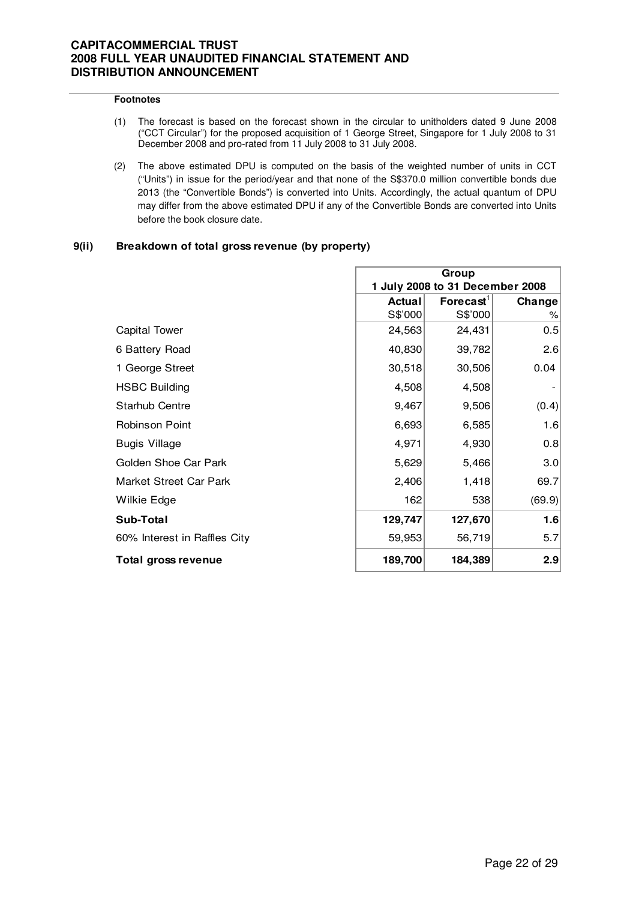#### **Footnotes**

- (1) The forecast is based on the forecast shown in the circular to unitholders dated 9 June 2008 ("CCT Circular") for the proposed acquisition of 1 George Street, Singapore for 1 July 2008 to 31 December 2008 and pro-rated from 11 July 2008 to 31 July 2008.
- (2) The above estimated DPU is computed on the basis of the weighted number of units in CCT ("Units") in issue for the period/year and that none of the S\$370.0 million convertible bonds due 2013 (the "Convertible Bonds") is converted into Units. Accordingly, the actual quantum of DPU may differ from the above estimated DPU if any of the Convertible Bonds are converted into Units before the book closure date.

#### **9(ii) Breakdown of total gross revenue (by property)**

|                              | Group                           |              |        |
|------------------------------|---------------------------------|--------------|--------|
|                              | 1 July 2008 to 31 December 2008 |              |        |
|                              | <b>Actual</b>                   | Forecast $1$ | Change |
|                              | S\$'000                         | S\$'000      | ℅      |
| <b>Capital Tower</b>         | 24,563                          | 24,431       | 0.5    |
| 6 Battery Road               | 40,830                          | 39,782       | 2.6    |
| 1 George Street              | 30,518                          | 30,506       | 0.04   |
| <b>HSBC Building</b>         | 4,508                           | 4,508        |        |
| <b>Starhub Centre</b>        | 9,467                           | 9,506        | (0.4)  |
| Robinson Point               | 6,693                           | 6,585        | 1.6    |
| Bugis Village                | 4,971                           | 4,930        | 0.8    |
| Golden Shoe Car Park         | 5,629                           | 5,466        | 3.0    |
| Market Street Car Park       | 2,406                           | 1,418        | 69.7   |
| Wilkie Edge                  | 162                             | 538          | (69.9) |
| Sub-Total                    | 129,747                         | 127,670      | 1.6    |
| 60% Interest in Raffles City | 59,953                          | 56,719       | 5.7    |
| Total gross revenue          | 189,700                         | 184,389      | 2.9    |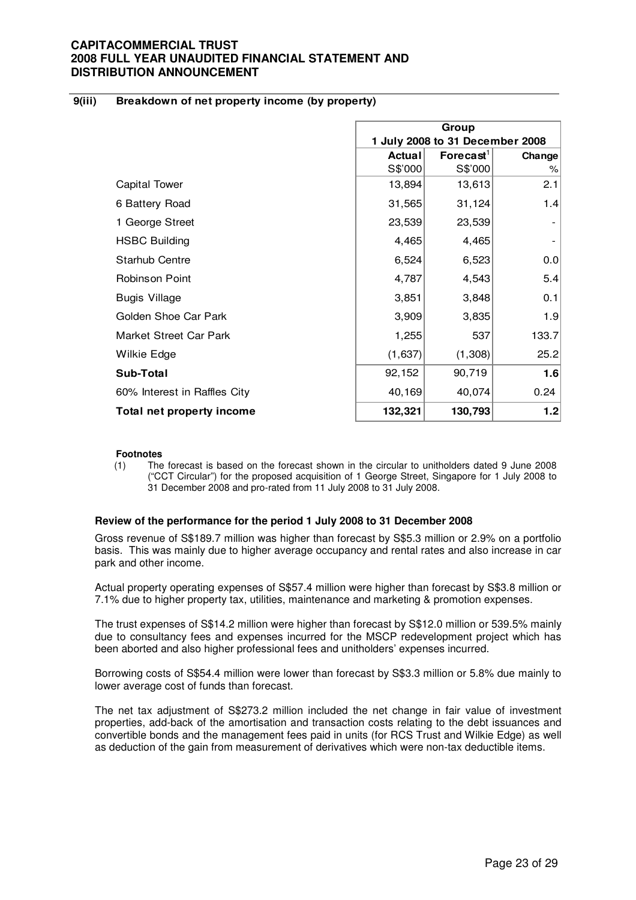#### **9(iii) Breakdown of net property income (by property)**

|                              | Group<br>1 July 2008 to 31 December 2008 |              |        |
|------------------------------|------------------------------------------|--------------|--------|
|                              | <b>Actual</b>                            | Forecast $1$ | Change |
|                              | S\$'000                                  | S\$'000      | ℅      |
| <b>Capital Tower</b>         | 13,894                                   | 13,613       | 2.1    |
| 6 Battery Road               | 31,565                                   | 31,124       | 1.4    |
| 1 George Street              | 23,539                                   | 23,539       |        |
| <b>HSBC Building</b>         | 4,465                                    | 4,465        |        |
| <b>Starhub Centre</b>        | 6,524                                    | 6,523        | 0.0    |
| <b>Robinson Point</b>        | 4,787                                    | 4,543        | 5.4    |
| <b>Bugis Village</b>         | 3,851                                    | 3,848        | 0.1    |
| Golden Shoe Car Park         | 3,909                                    | 3,835        | 1.9    |
| Market Street Car Park       | 1,255                                    | 537          | 133.7  |
| Wilkie Edge                  | (1,637)                                  | (1,308)      | 25.2   |
| Sub-Total                    | 92,152                                   | 90,719       | 1.6    |
| 60% Interest in Raffles City | 40,169                                   | 40,074       | 0.24   |
| Total net property income    | 132,321                                  | 130,793      | 1.2    |

#### **Footnotes**

(1) The forecast is based on the forecast shown in the circular to unitholders dated 9 June 2008 ("CCT Circular") for the proposed acquisition of 1 George Street, Singapore for 1 July 2008 to 31 December 2008 and pro-rated from 11 July 2008 to 31 July 2008.

#### **Review of the performance for the period 1 July 2008 to 31 December 2008**

 Gross revenue of S\$189.7 million was higher than forecast by S\$5.3 million or 2.9% on a portfolio basis. This was mainly due to higher average occupancy and rental rates and also increase in car park and other income.

Actual property operating expenses of S\$57.4 million were higher than forecast by S\$3.8 million or 7.1% due to higher property tax, utilities, maintenance and marketing & promotion expenses.

The trust expenses of S\$14.2 million were higher than forecast by S\$12.0 million or 539.5% mainly due to consultancy fees and expenses incurred for the MSCP redevelopment project which has been aborted and also higher professional fees and unitholders' expenses incurred.

Borrowing costs of S\$54.4 million were lower than forecast by S\$3.3 million or 5.8% due mainly to lower average cost of funds than forecast.

The net tax adjustment of S\$273.2 million included the net change in fair value of investment properties, add-back of the amortisation and transaction costs relating to the debt issuances and convertible bonds and the management fees paid in units (for RCS Trust and Wilkie Edge) as well as deduction of the gain from measurement of derivatives which were non-tax deductible items.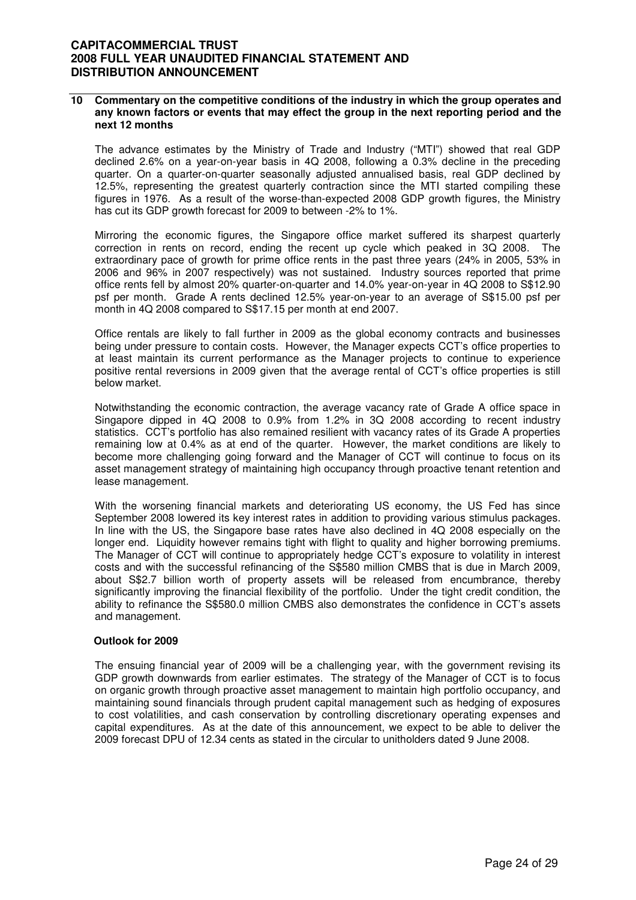#### **10 Commentary on the competitive conditions of the industry in which the group operates and any known factors or events that may effect the group in the next reporting period and the next 12 months**

The advance estimates by the Ministry of Trade and Industry ("MTI") showed that real GDP declined 2.6% on a year-on-year basis in 4Q 2008, following a 0.3% decline in the preceding quarter. On a quarter-on-quarter seasonally adjusted annualised basis, real GDP declined by 12.5%, representing the greatest quarterly contraction since the MTI started compiling these figures in 1976. As a result of the worse-than-expected 2008 GDP growth figures, the Ministry has cut its GDP growth forecast for 2009 to between -2% to 1%.

Mirroring the economic figures, the Singapore office market suffered its sharpest quarterly correction in rents on record, ending the recent up cycle which peaked in 3Q 2008. The extraordinary pace of growth for prime office rents in the past three years (24% in 2005, 53% in 2006 and 96% in 2007 respectively) was not sustained. Industry sources reported that prime office rents fell by almost 20% quarter-on-quarter and 14.0% year-on-year in 4Q 2008 to S\$12.90 psf per month. Grade A rents declined 12.5% year-on-year to an average of S\$15.00 psf per month in 4Q 2008 compared to S\$17.15 per month at end 2007.

Office rentals are likely to fall further in 2009 as the global economy contracts and businesses being under pressure to contain costs. However, the Manager expects CCT's office properties to at least maintain its current performance as the Manager projects to continue to experience positive rental reversions in 2009 given that the average rental of CCT's office properties is still below market.

Notwithstanding the economic contraction, the average vacancy rate of Grade A office space in Singapore dipped in 4Q 2008 to 0.9% from 1.2% in 3Q 2008 according to recent industry statistics. CCT's portfolio has also remained resilient with vacancy rates of its Grade A properties remaining low at 0.4% as at end of the quarter. However, the market conditions are likely to become more challenging going forward and the Manager of CCT will continue to focus on its asset management strategy of maintaining high occupancy through proactive tenant retention and lease management.

With the worsening financial markets and deteriorating US economy, the US Fed has since September 2008 lowered its key interest rates in addition to providing various stimulus packages. In line with the US, the Singapore base rates have also declined in 4Q 2008 especially on the longer end. Liquidity however remains tight with flight to quality and higher borrowing premiums. The Manager of CCT will continue to appropriately hedge CCT's exposure to volatility in interest costs and with the successful refinancing of the S\$580 million CMBS that is due in March 2009, about S\$2.7 billion worth of property assets will be released from encumbrance, thereby significantly improving the financial flexibility of the portfolio. Under the tight credit condition, the ability to refinance the S\$580.0 million CMBS also demonstrates the confidence in CCT's assets and management.

#### **Outlook for 2009**

The ensuing financial year of 2009 will be a challenging year, with the government revising its GDP growth downwards from earlier estimates. The strategy of the Manager of CCT is to focus on organic growth through proactive asset management to maintain high portfolio occupancy, and maintaining sound financials through prudent capital management such as hedging of exposures to cost volatilities, and cash conservation by controlling discretionary operating expenses and capital expenditures. As at the date of this announcement, we expect to be able to deliver the 2009 forecast DPU of 12.34 cents as stated in the circular to unitholders dated 9 June 2008.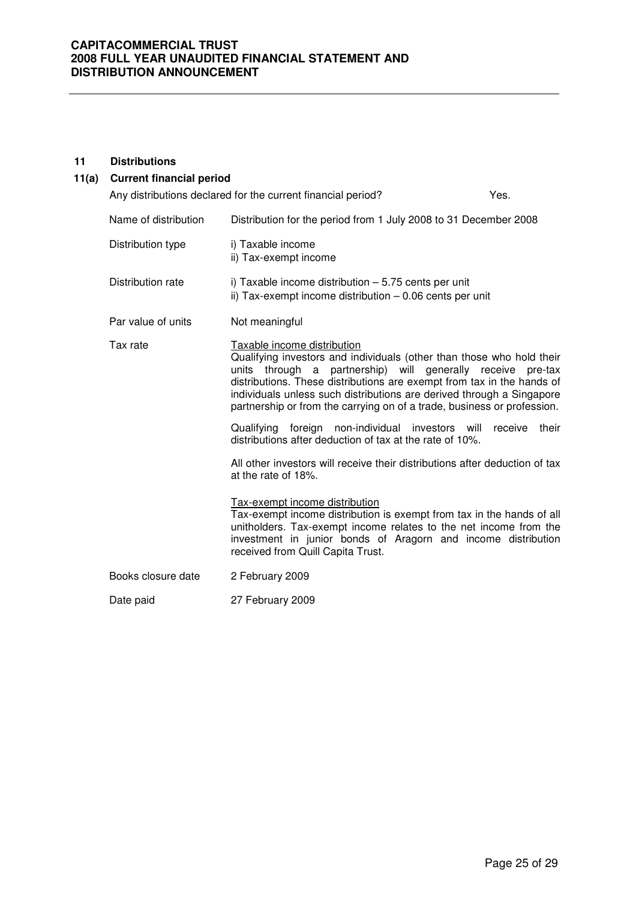#### **11 Distributions**

# **11(a) Current financial period** Any distributions declared for the current financial period? The Message of the Ves. Name of distribution Distribution for the period from 1 July 2008 to 31 December 2008 Distribution type i) Taxable income ii) Tax-exempt income Distribution rate i) Taxable income distribution – 5.75 cents per unit ii) Tax-exempt income distribution – 0.06 cents per unit Par value of units Not meaningful Tax rate Taxable income distribution Qualifying investors and individuals (other than those who hold their units through a partnership) will generally receive pre-tax distributions. These distributions are exempt from tax in the hands of individuals unless such distributions are derived through a Singapore partnership or from the carrying on of a trade, business or profession. Qualifying foreign non-individual investors will receive their distributions after deduction of tax at the rate of 10%. All other investors will receive their distributions after deduction of tax at the rate of 18%. Tax-exempt income distribution Tax-exempt income distribution is exempt from tax in the hands of all unitholders. Tax-exempt income relates to the net income from the investment in junior bonds of Aragorn and income distribution received from Quill Capita Trust. Books closure date 2 February 2009 Date paid 27 February 2009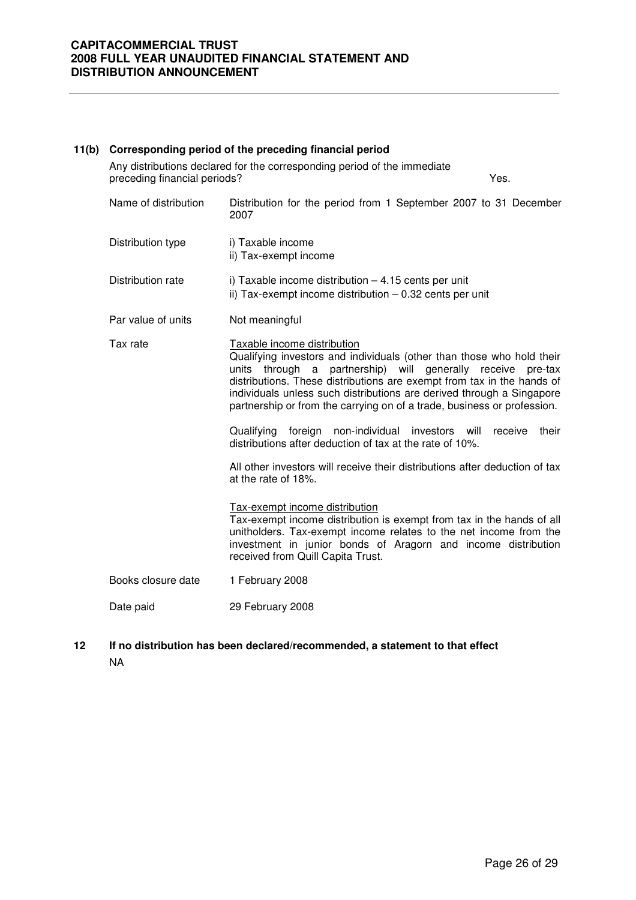| 11(b) |                              | Corresponding period of the preceding financial period                                                                                                                                                                                                                                                                                                                                                                                                                                                                                                                                                                                                                                                                                                                                                                                                                                                                               |
|-------|------------------------------|--------------------------------------------------------------------------------------------------------------------------------------------------------------------------------------------------------------------------------------------------------------------------------------------------------------------------------------------------------------------------------------------------------------------------------------------------------------------------------------------------------------------------------------------------------------------------------------------------------------------------------------------------------------------------------------------------------------------------------------------------------------------------------------------------------------------------------------------------------------------------------------------------------------------------------------|
|       | preceding financial periods? | Any distributions declared for the corresponding period of the immediate<br>Yes.                                                                                                                                                                                                                                                                                                                                                                                                                                                                                                                                                                                                                                                                                                                                                                                                                                                     |
|       | Name of distribution         | Distribution for the period from 1 September 2007 to 31 December<br>2007                                                                                                                                                                                                                                                                                                                                                                                                                                                                                                                                                                                                                                                                                                                                                                                                                                                             |
|       | Distribution type            | i) Taxable income<br>ii) Tax-exempt income                                                                                                                                                                                                                                                                                                                                                                                                                                                                                                                                                                                                                                                                                                                                                                                                                                                                                           |
|       | Distribution rate            | i) Taxable income distribution - 4.15 cents per unit<br>ii) Tax-exempt income distribution - 0.32 cents per unit                                                                                                                                                                                                                                                                                                                                                                                                                                                                                                                                                                                                                                                                                                                                                                                                                     |
|       | Par value of units           | Not meaningful                                                                                                                                                                                                                                                                                                                                                                                                                                                                                                                                                                                                                                                                                                                                                                                                                                                                                                                       |
|       | Tax rate                     | Taxable income distribution<br>Qualifying investors and individuals (other than those who hold their<br>units through a partnership) will generally receive<br>pre-tax<br>distributions. These distributions are exempt from tax in the hands of<br>individuals unless such distributions are derived through a Singapore<br>partnership or from the carrying on of a trade, business or profession.<br>Qualifying foreign non-individual investors will<br>their<br>receive<br>distributions after deduction of tax at the rate of 10%.<br>All other investors will receive their distributions after deduction of tax<br>at the rate of 18%.<br>Tax-exempt income distribution<br>Tax-exempt income distribution is exempt from tax in the hands of all<br>unitholders. Tax-exempt income relates to the net income from the<br>investment in junior bonds of Aragorn and income distribution<br>received from Quill Capita Trust. |
|       | Books closure date           | 1 February 2008                                                                                                                                                                                                                                                                                                                                                                                                                                                                                                                                                                                                                                                                                                                                                                                                                                                                                                                      |
|       | Date paid                    | 29 February 2008                                                                                                                                                                                                                                                                                                                                                                                                                                                                                                                                                                                                                                                                                                                                                                                                                                                                                                                     |
|       |                              |                                                                                                                                                                                                                                                                                                                                                                                                                                                                                                                                                                                                                                                                                                                                                                                                                                                                                                                                      |

# **12 If no distribution has been declared/recommended, a statement to that effect** NA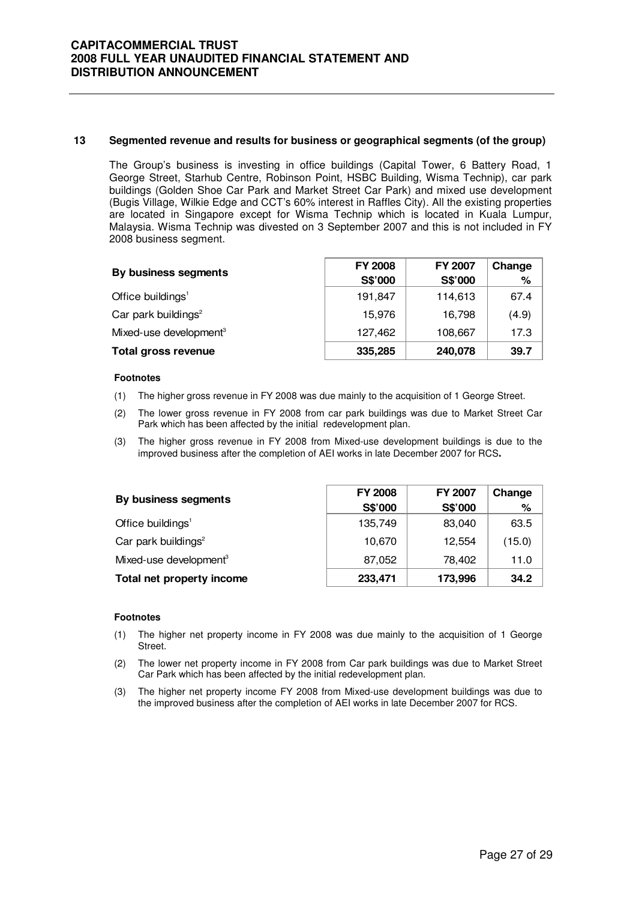#### **13 Segmented revenue and results for business or geographical segments (of the group)**

The Group's business is investing in office buildings (Capital Tower, 6 Battery Road, 1 George Street, Starhub Centre, Robinson Point, HSBC Building, Wisma Technip), car park buildings (Golden Shoe Car Park and Market Street Car Park) and mixed use development (Bugis Village, Wilkie Edge and CCT's 60% interest in Raffles City). All the existing properties are located in Singapore except for Wisma Technip which is located in Kuala Lumpur, Malaysia. Wisma Technip was divested on 3 September 2007 and this is not included in FY 2008 business segment.

| By business segments               | <b>FY 2008</b> | <b>FY 2007</b> | Change |
|------------------------------------|----------------|----------------|--------|
|                                    | S\$'000        | S\$'000        | ℅      |
| Office buildings <sup>1</sup>      | 191,847        | 114,613        | 67.4   |
| Car park buildings <sup>2</sup>    | 15.976         | 16,798         | (4.9)  |
| Mixed-use development <sup>3</sup> | 127,462        | 108,667        | 17.3   |
| <b>Total gross revenue</b>         | 335,285        | 240,078        | 39.7   |

#### **Footnotes**

- (1) The higher gross revenue in FY 2008 was due mainly to the acquisition of 1 George Street.
- (2) The lower gross revenue in FY 2008 from car park buildings was due to Market Street Car Park which has been affected by the initial redevelopment plan.
- (3) The higher gross revenue in FY 2008 from Mixed-use development buildings is due to the improved business after the completion of AEI works in late December 2007 for RCS**.**

| By business segments               | <b>FY 2008</b> | <b>FY 2007</b> | Change |
|------------------------------------|----------------|----------------|--------|
|                                    | S\$'000        | S\$'000        | %      |
| Office buildings <sup>1</sup>      | 135,749        | 83,040         | 63.5   |
| Car park buildings <sup>2</sup>    | 10,670         | 12,554         | (15.0) |
| Mixed-use development <sup>3</sup> | 87,052         | 78,402         | 11.0   |
| Total net property income          | 233,471        | 173,996        | 34.2   |

#### **Footnotes**

- (1) The higher net property income in FY 2008 was due mainly to the acquisition of 1 George Street.
- (2) The lower net property income in FY 2008 from Car park buildings was due to Market Street Car Park which has been affected by the initial redevelopment plan.
- (3) The higher net property income FY 2008 from Mixed-use development buildings was due to the improved business after the completion of AEI works in late December 2007 for RCS.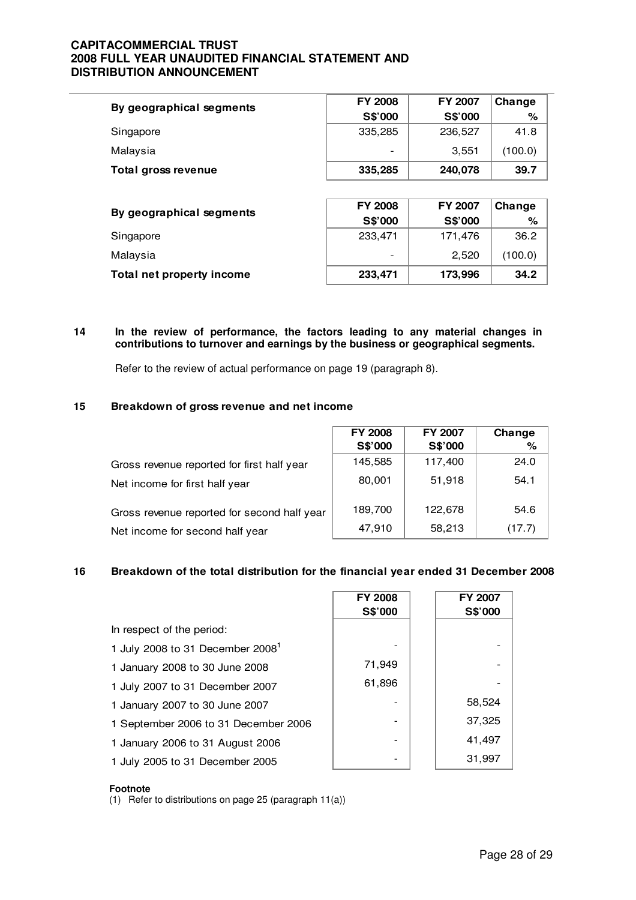| By geographical segments  | <b>FY 2008</b> | FY 2007        | Change  |
|---------------------------|----------------|----------------|---------|
|                           | S\$'000        | S\$'000        | ℅       |
| Singapore                 | 335,285        | 236,527        | 41.8    |
| Malaysia                  |                | 3,551          | (100.0) |
| Total gross revenue       | 335,285        | 240,078        | 39.7    |
|                           |                |                |         |
| By geographical segments  | <b>FY 2008</b> | <b>FY 2007</b> | Change  |
|                           | S\$'000        | S\$'000        | %       |
| Singapore                 | 233,471        | 171,476        | 36.2    |
| Malaysia                  |                | 2,520          | (100.0) |
| Total net property income | 233,471        | 173,996        | 34.2    |

#### **14 In the review of performance, the factors leading to any material changes in contributions to turnover and earnings by the business or geographical segments.**

Refer to the review of actual performance on page 19 (paragraph 8).

#### **15 Breakdown of gross revenue and net income**

|                                             | <b>FY 2008</b> | FY 2007 | Change |
|---------------------------------------------|----------------|---------|--------|
|                                             | S\$'000        | S\$'000 | %      |
| Gross revenue reported for first half year  | 145,585        | 117,400 | 24.0   |
| Net income for first half year              | 80,001         | 51,918  | 54.1   |
| Gross revenue reported for second half year | 189,700        | 122,678 | 54.6   |
| Net income for second half year             | 47,910         | 58,213  | (17.7) |

#### **16 Breakdown of the total distribution for the financial year ended 31 December 2008**

|                                              | <b>FY 2008</b><br>S\$'000 | <b>FY 2007</b><br>S\$'000 |
|----------------------------------------------|---------------------------|---------------------------|
| In respect of the period:                    |                           |                           |
| 1 July 2008 to 31 December 2008 <sup>1</sup> |                           |                           |
| 1 January 2008 to 30 June 2008               | 71,949                    |                           |
| 1 July 2007 to 31 December 2007              | 61,896                    |                           |
| 1 January 2007 to 30 June 2007               |                           | 58,524                    |
| 1 September 2006 to 31 December 2006         |                           | 37,325                    |
| 1 January 2006 to 31 August 2006             |                           | 41,497                    |
| 1 July 2005 to 31 December 2005              |                           | 31,997                    |

#### **Footnote**

(1) Refer to distributions on page 25 (paragraph 11(a))